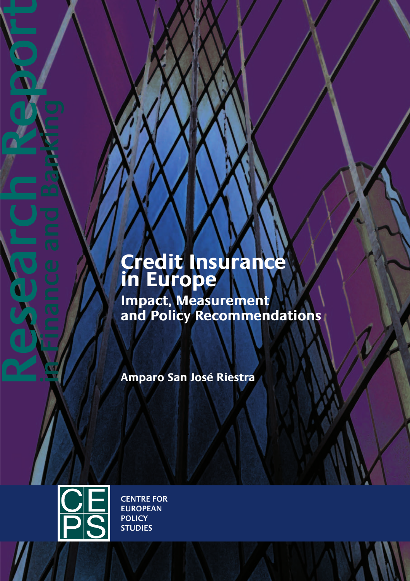# **Credit Insurance in Europe**

**Impact, Measurement and Policy Recommendations** 

**Amparo San José Riestra** 



**Research Report in Finance and Banking**

**CENTRE FOR EUROPEAN POLICY STUDIES**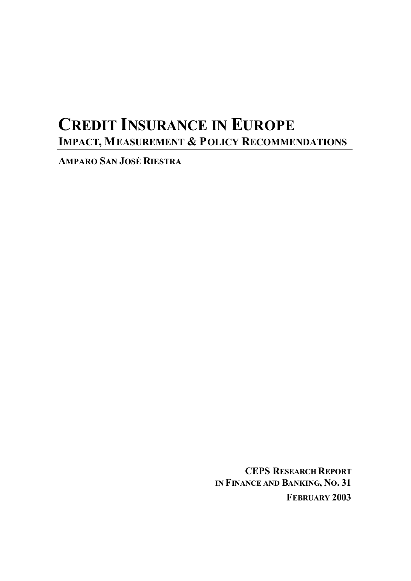# **CREDIT INSURANCE IN EUROPE IMPACT, MEASUREMENT & POLICY RECOMMENDATIONS**

**AMPARO SAN JOSÉ RIESTRA**

**CEPS RESEARCH REPORT IN FINANCE AND BANKING, NO. 31 FEBRUARY 2003**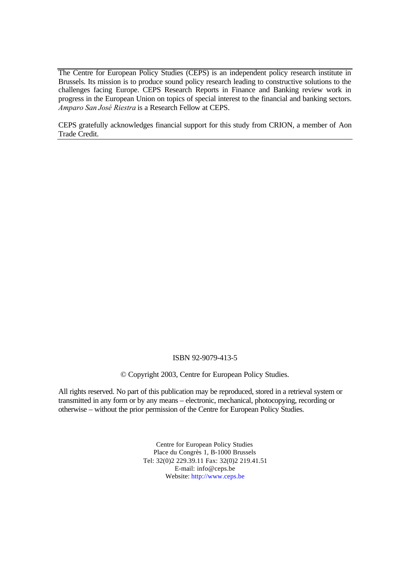The Centre for European Policy Studies (CEPS) is an independent policy research institute in Brussels. Its mission is to produce sound policy research leading to constructive solutions to the challenges facing Europe. CEPS Research Reports in Finance and Banking review work in progress in the European Union on topics of special interest to the financial and banking sectors. *Amparo San José Riestra* is a Research Fellow at CEPS.

CEPS gratefully acknowledges financial support for this study from CRION, a member of Aon Trade Credit.

#### ISBN 92-9079-413-5

© Copyright 2003, Centre for European Policy Studies.

All rights reserved. No part of this publication may be reproduced, stored in a retrieval system or transmitted in any form or by any means – electronic, mechanical, photocopying, recording or otherwise – without the prior permission of the Centre for European Policy Studies.

> Centre for European Policy Studies Place du Congrès 1, B-1000 Brussels Tel: 32(0)2 229.39.11 Fax: 32(0)2 219.41.51 E-mail: info@ceps.be Website: http://www.ceps.be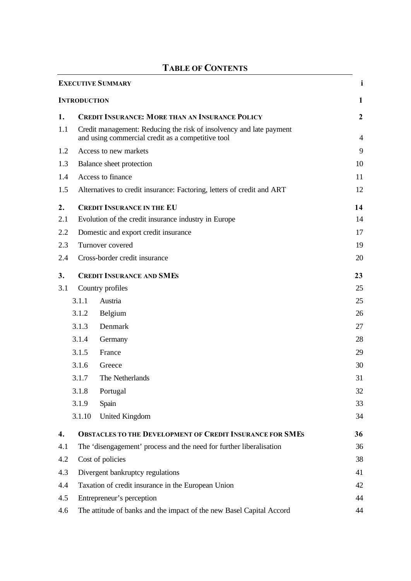|     |                     | I ADLE OF CONTENTS                                                                                                       |                  |
|-----|---------------------|--------------------------------------------------------------------------------------------------------------------------|------------------|
|     |                     | <b>EXECUTIVE SUMMARY</b>                                                                                                 | 1                |
|     | <b>INTRODUCTION</b> |                                                                                                                          | 1                |
| 1.  |                     | <b>CREDIT INSURANCE: MORE THAN AN INSURANCE POLICY</b>                                                                   | $\boldsymbol{2}$ |
| 1.1 |                     | Credit management: Reducing the risk of insolvency and late payment<br>and using commercial credit as a competitive tool | $\overline{4}$   |
| 1.2 |                     | Access to new markets                                                                                                    | 9                |
| 1.3 |                     | Balance sheet protection                                                                                                 | 10               |
| 1.4 |                     | Access to finance                                                                                                        | 11               |
| 1.5 |                     | Alternatives to credit insurance: Factoring, letters of credit and ART                                                   | 12               |
| 2.  |                     | <b>CREDIT INSURANCE IN THE EU</b>                                                                                        | 14               |
| 2.1 |                     | Evolution of the credit insurance industry in Europe                                                                     | 14               |
| 2.2 |                     | Domestic and export credit insurance                                                                                     | 17               |
| 2.3 |                     | Turnover covered                                                                                                         | 19               |
| 2.4 |                     | Cross-border credit insurance                                                                                            | 20               |
| 3.  |                     | <b>CREDIT INSURANCE AND SMES</b>                                                                                         | 23               |
| 3.1 |                     | Country profiles                                                                                                         | 25               |
|     | 3.1.1               | Austria                                                                                                                  | 25               |
|     | 3.1.2               | Belgium                                                                                                                  | 26               |
|     | 3.1.3               | Denmark                                                                                                                  | 27               |
|     | 3.1.4               | Germany                                                                                                                  | 28               |
|     | 3.1.5               | France                                                                                                                   | 29               |
|     | 3.1.6               | Greece                                                                                                                   | 30               |
|     | 3.1.7               | The Netherlands                                                                                                          | 31               |
|     | 3.1.8               | Portugal                                                                                                                 | 32               |
|     | 3.1.9               | Spain                                                                                                                    | 33               |
|     | 3.1.10              | <b>United Kingdom</b>                                                                                                    | 34               |
| 4.  |                     | <b>OBSTACLES TO THE DEVELOPMENT OF CREDIT INSURANCE FOR SMES</b>                                                         | 36               |
| 4.1 |                     | The 'disengagement' process and the need for further liberalisation                                                      | 36               |
| 4.2 |                     | Cost of policies                                                                                                         | 38               |
| 4.3 |                     | Divergent bankruptcy regulations                                                                                         | 41               |
| 4.4 |                     | Taxation of credit insurance in the European Union                                                                       | 42               |
| 4.5 |                     | Entrepreneur's perception                                                                                                | 44               |
| 4.6 |                     | The attitude of banks and the impact of the new Basel Capital Accord                                                     | 44               |

## **TABLE OF CONTENTS**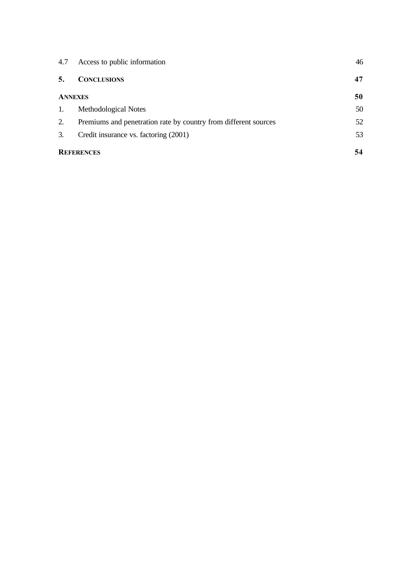| 4.7 | Access to public information                                    | 46 |
|-----|-----------------------------------------------------------------|----|
| 5.  | <b>CONCLUSIONS</b>                                              | 47 |
|     | <b>ANNEXES</b>                                                  | 50 |
| 1.  | Methodological Notes                                            | 50 |
| 2.  | Premiums and penetration rate by country from different sources | 52 |
| 3.  | Credit insurance vs. factoring (2001)                           | 53 |
|     | <b>REFERENCES</b>                                               | 54 |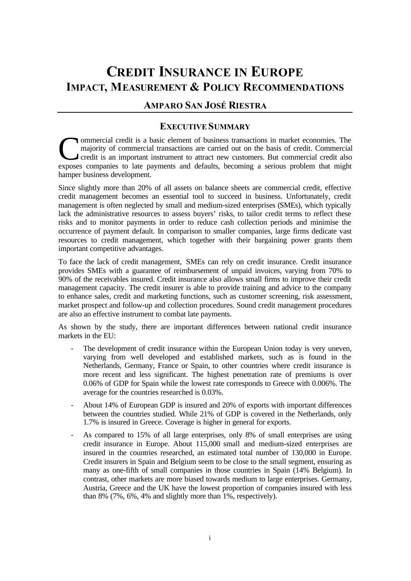# **CREDIT INSURANCE IN EUROPE IMPACT, MEASUREMENT & POLICY RECOMMENDATIONS**

## **AMPARO SAN JOSÉ RIESTRA**

## **EXECUTIVE SUMMARY**

ommercial credit is a basic element of business transactions in market economies. The majority of commercial transactions are carried out on the basis of credit. Commercial credit is an important instrument to attract new customers. But commercial credit also **Exponent Commercial credit** is a basic element of business transactions in market economies. The majority of commercial transactions are carried out on the basis of credit. Commercial credit is an important instrument to hamper business development.

Since slightly more than 20% of all assets on balance sheets are commercial credit, effective credit management becomes an essential tool to succeed in business. Unfortunately, credit management is often neglected by small and medium-sized enterprises (SMEs), which typically lack the administrative resources to assess buyers' risks, to tailor credit terms to reflect these risks and to monitor payments in order to reduce cash collection periods and minimise the occurrence of payment default. In comparison to smaller companies, large firms dedicate vast resources to credit management, which together with their bargaining power grants them important competitive advantages.

To face the lack of credit management, SMEs can rely on credit insurance. Credit insurance provides SMEs with a guarantee of reimbursement of unpaid invoices, varying from 70% to 90% of the receivables insured. Credit insurance also allows small firms to improve their credit management capacity. The credit insurer is able to provide training and advice to the company to enhance sales, credit and marketing functions, such as customer screening, risk assessment, market prospect and follow-up and collection procedures. Sound credit management procedures are also an effective instrument to combat late payments.

As shown by the study, there are important differences between national credit insurance markets in the EU:

- The development of credit insurance within the European Union today is very uneven, varying from well developed and established markets, such as is found in the Netherlands, Germany, France or Spain, to other countries where credit insurance is more recent and less significant. The highest penetration rate of premiums is over 0.06% of GDP for Spain while the lowest rate corresponds to Greece with 0.006%. The average for the countries researched is 0.03%.
- About 14% of European GDP is insured and 20% of exports with important differences between the countries studied. While 21% of GDP is covered in the Netherlands, only 1.7% is insured in Greece. Coverage is higher in general for exports.
- As compared to 15% of all large enterprises, only 8% of small enterprises are using credit insurance in Europe. About 115,000 small and medium-sized enterprises are insured in the countries researched, an estimated total number of 130,000 in Europe. Credit insurers in Spain and Belgium seem to be close to the small segment, ensuring as many as one-fifth of small companies in those countries in Spain (14% Belgium). In contrast, other markets are more biased towards medium to large enterprises. Germany, Austria, Greece and the UK have the lowest proportion of companies insured with less than 8% (7%, 6%, 4% and slightly more than 1%, respectively).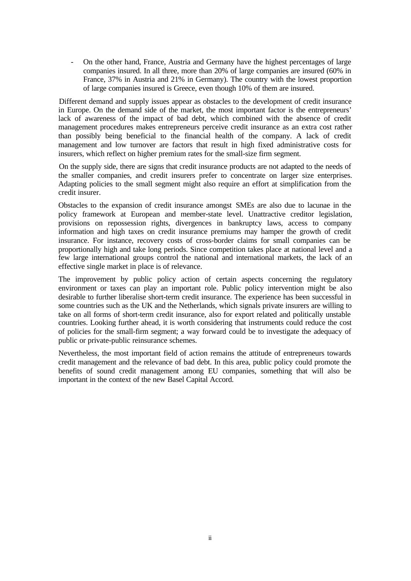- On the other hand, France, Austria and Germany have the highest percentages of large companies insured. In all three, more than 20% of large companies are insured (60% in France, 37% in Austria and 21% in Germany). The country with the lowest proportion of large companies insured is Greece, even though 10% of them are insured.

Different demand and supply issues appear as obstacles to the development of credit insurance in Europe. On the demand side of the market, the most important factor is the entrepreneurs' lack of awareness of the impact of bad debt, which combined with the absence of credit management procedures makes entrepreneurs perceive credit insurance as an extra cost rather than possibly being beneficial to the financial health of the company. A lack of credit management and low turnover are factors that result in high fixed administrative costs for insurers, which reflect on higher premium rates for the small-size firm segment.

On the supply side, there are signs that credit insurance products are not adapted to the needs of the smaller companies, and credit insurers prefer to concentrate on larger size enterprises. Adapting policies to the small segment might also require an effort at simplification from the credit insurer.

Obstacles to the expansion of credit insurance amongst SMEs are also due to lacunae in the policy framework at European and member-state level. Unattractive creditor legislation, provisions on repossession rights, divergences in bankruptcy laws, access to company information and high taxes on credit insurance premiums may hamper the growth of credit insurance. For instance, recovery costs of cross-border claims for small companies can be proportionally high and take long periods. Since competition takes place at national level and a few large international groups control the national and international markets, the lack of an effective single market in place is of relevance.

The improvement by public policy action of certain aspects concerning the regulatory environment or taxes can play an important role. Public policy intervention might be also desirable to further liberalise short-term credit insurance. The experience has been successful in some countries such as the UK and the Netherlands, which signals private insurers are willing to take on all forms of short-term credit insurance, also for export related and politically unstable countries. Looking further ahead, it is worth considering that instruments could reduce the cost of policies for the small-firm segment; a way forward could be to investigate the adequacy of public or private-public reinsurance schemes.

Nevertheless, the most important field of action remains the attitude of entrepreneurs towards credit management and the relevance of bad debt. In this area, public policy could promote the benefits of sound credit management among EU companies, something that will also be important in the context of the new Basel Capital Accord.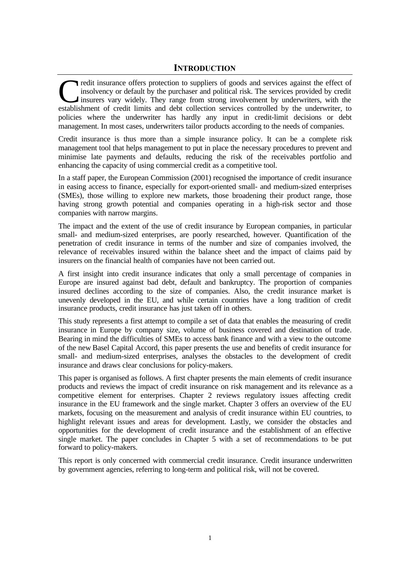redit insurance offers protection to suppliers of goods and services against the effect of insolvency or default by the purchaser and political risk. The services provided by credit insurers vary widely. They range from strong involvement by underwriters, with the redit insurance offers protection to suppliers of goods and services against the effect of insolvency or default by the purchaser and political risk. The services provided by credit insurers vary widely. They range from st policies where the underwriter has hardly any input in credit-limit decisions or debt management. In most cases, underwriters tailor products according to the needs of companies.

Credit insurance is thus more than a simple insurance policy. It can be a complete risk management tool that helps management to put in place the necessary procedures to prevent and minimise late payments and defaults, reducing the risk of the receivables portfolio and enhancing the capacity of using commercial credit as a competitive tool.

In a staff paper, the European Commission (2001) recognised the importance of credit insurance in easing access to finance, especially for export-oriented small- and medium-sized enterprises (SMEs), those willing to explore new markets, those broadening their product range, those having strong growth potential and companies operating in a high-risk sector and those companies with narrow margins.

The impact and the extent of the use of credit insurance by European companies, in particular small- and medium-sized enterprises, are poorly researched, however. Quantification of the penetration of credit insurance in terms of the number and size of companies involved, the relevance of receivables insured within the balance sheet and the impact of claims paid by insurers on the financial health of companies have not been carried out.

A first insight into credit insurance indicates that only a small percentage of companies in Europe are insured against bad debt, default and bankruptcy. The proportion of companies insured declines according to the size of companies. Also, the credit insurance market is unevenly developed in the EU, and while certain countries have a long tradition of credit insurance products, credit insurance has just taken off in others.

This study represents a first attempt to compile a set of data that enables the measuring of credit insurance in Europe by company size, volume of business covered and destination of trade. Bearing in mind the difficulties of SMEs to access bank finance and with a view to the outcome of the new Basel Capital Accord, this paper presents the use and benefits of credit insurance for small- and medium-sized enterprises, analyses the obstacles to the development of credit insurance and draws clear conclusions for policy-makers.

This paper is organised as follows. A first chapter presents the main elements of credit insurance products and reviews the impact of credit insurance on risk management and its relevance as a competitive element for enterprises. Chapter 2 reviews regulatory issues affecting credit insurance in the EU framework and the single market. Chapter 3 offers an overview of the EU markets, focusing on the measurement and analysis of credit insurance within EU countries, to highlight relevant issues and areas for development. Lastly, we consider the obstacles and opportunities for the development of credit insurance and the establishment of an effective single market. The paper concludes in Chapter 5 with a set of recommendations to be put forward to policy-makers.

This report is only concerned with commercial credit insurance. Credit insurance underwritten by government agencies, referring to long-term and political risk, will not be covered.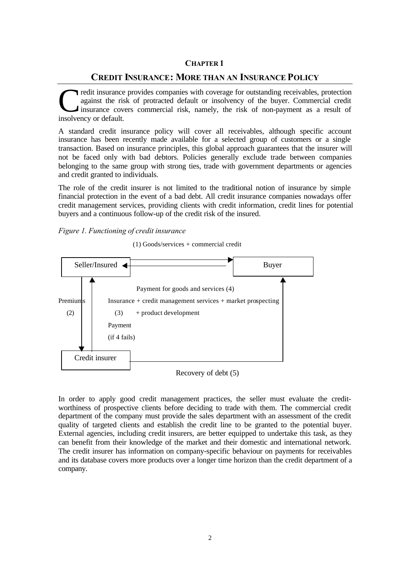### **CHAPTER 1**

### **CREDIT INSURANCE: MORE THAN AN INSURANCE POLICY**

redit insurance provides companies with coverage for outstanding receivables, protection against the risk of protracted default or insolvency of the buyer. Commercial credit insurance covers commercial risk, namely, the risk of non-payment as a result of Tredit insurance<br>
against the ris<br>
insurance cov<br>
insolvency or default.

A standard credit insurance policy will cover all receivables, although specific account insurance has been recently made available for a selected group of customers or a single transaction. Based on insurance principles, this global approach guarantees that the insurer will not be faced only with bad debtors. Policies generally exclude trade between companies belonging to the same group with strong ties, trade with government departments or agencies and credit granted to individuals.

The role of the credit insurer is not limited to the traditional notion of insurance by simple financial protection in the event of a bad debt. All credit insurance companies nowadays offer credit management services, providing clients with credit information, credit lines for potential buyers and a continuous follow-up of the credit risk of the insured.

*Figure 1. Functioning of credit insurance*

(1) Goods/services + commercial credit



### Recovery of debt (5)

In order to apply good credit management practices, the seller must evaluate the creditworthiness of prospective clients before deciding to trade with them. The commercial credit department of the company must provide the sales department with an assessment of the credit quality of targeted clients and establish the credit line to be granted to the potential buyer. External agencies, including credit insurers, are better equipped to undertake this task, as they can benefit from their knowledge of the market and their domestic and international network. The credit insurer has information on company-specific behaviour on payments for receivables and its database covers more products over a longer time horizon than the credit department of a company.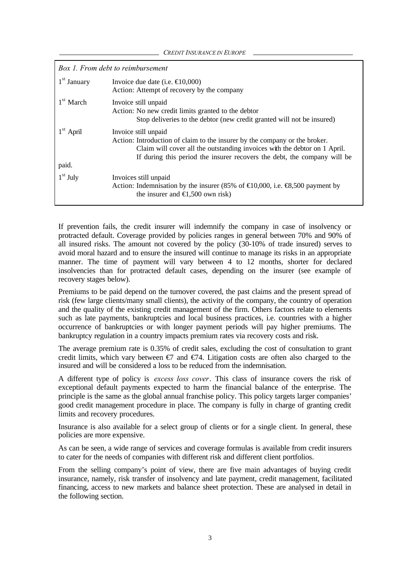*CREDIT INSURANCE IN EUROPE*

|                      | Box 1. From debt to reimbursement                                                                                                                                                                                                                           |
|----------------------|-------------------------------------------------------------------------------------------------------------------------------------------------------------------------------------------------------------------------------------------------------------|
| $1st$ January        | Invoice due date (i.e. $\in$ 0,000)<br>Action: Attempt of recovery by the company                                                                                                                                                                           |
| $1st$ March          | Invoice still unpaid<br>Action: No new credit limits granted to the debtor<br>Stop deliveries to the debtor (new credit granted will not be insured)                                                                                                        |
| $1st$ April<br>paid. | Invoice still unpaid<br>Action: Introduction of claim to the insurer by the company or the broker.<br>Claim will cover all the outstanding invoices with the debtor on 1 April.<br>If during this period the insurer recovers the debt, the company will be |
| $1st$ July           | Invoices still unpaid<br>Action: Indemnisation by the insurer (85% of $\in 0,000$ , i.e. $\in \mathbb{S},500$ payment by<br>the insurer and $\bigoplus$ ,500 own risk)                                                                                      |

If prevention fails, the credit insurer will indemnify the company in case of insolvency or protracted default. Coverage provided by policies ranges in general between 70% and 90% of all insured risks. The amount not covered by the policy (30-10% of trade insured) serves to avoid moral hazard and to ensure the insured will continue to manage its risks in an appropriate manner. The time of payment will vary between 4 to 12 months, shorter for declared insolvencies than for protracted default cases, depending on the insurer (see example of recovery stages below).

Premiums to be paid depend on the turnover covered, the past claims and the present spread of risk (few large clients/many small clients), the activity of the company, the country of operation and the quality of the existing credit management of the firm. Others factors relate to elements such as late payments, bankruptcies and local business practices, i.e. countries with a higher occurrence of bankruptcies or with longer payment periods will pay higher premiums. The bankruptcy regulation in a country impacts premium rates via recovery costs and risk.

The average premium rate is 0.35% of credit sales, excluding the cost of consultation to grant credit limits, which vary between  $\epsilon$  and  $\epsilon$  4. Litigation costs are often also charged to the insured and will be considered a loss to be reduced from the indemnisation.

A different type of policy is *excess loss cover*. This class of insurance covers the risk of exceptional default payments expected to harm the financial balance of the enterprise. The principle is the same as the global annual franchise policy. This policy targets larger companies' good credit management procedure in place. The company is fully in charge of granting credit limits and recovery procedures.

Insurance is also available for a select group of clients or for a single client. In general, these policies are more expensive.

As can be seen, a wide range of services and coverage formulas is available from credit insurers to cater for the needs of companies with different risk and different client portfolios.

From the selling company's point of view, there are five main advantages of buying credit insurance, namely, risk transfer of insolvency and late payment, credit management, facilitated financing, access to new markets and balance sheet protection. These are analysed in detail in the following section.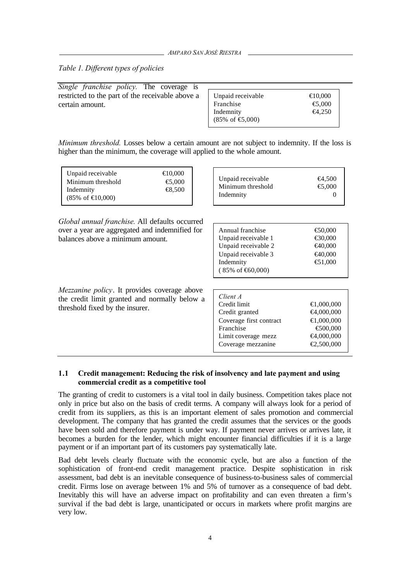*Table 1. Different types of policies*

| Single franchise policy. The coverage is         |                                    |                   |
|--------------------------------------------------|------------------------------------|-------------------|
| restricted to the part of the receivable above a | Unpaid receivable                  | $\bigoplus$ 0.000 |
| certain amount.                                  | Franchise                          | $\bigoplus$ ,000  |
|                                                  | Indemnity                          | $\bigoplus$ , 250 |
|                                                  | $(85\% \text{ of } \bigoplus,000)$ |                   |

*Minimum threshold.* Losses below a certain amount are not subject to indemnity. If the loss is higher than the minimum, the coverage will applied to the whole amount.

| Unpaid receivable<br>Minimum threshold<br>Indemnity<br>$(85\% \text{ of } \text{€}0,000)$                                                   | €10,000<br>$\bigoplus$ ,000<br>€8,500 |                                                                                                                                                      | <del>€</del> 4,500<br>⊕.000<br>$\theta$                                                 |
|---------------------------------------------------------------------------------------------------------------------------------------------|---------------------------------------|------------------------------------------------------------------------------------------------------------------------------------------------------|-----------------------------------------------------------------------------------------|
| <i>Global annual franchise.</i> All defaults occurred<br>over a year are aggregated and indemnified for<br>balances above a minimum amount. |                                       | Annual franchise<br>Unpaid receivable 1<br>Unpaid receivable 2<br>Unpaid receivable 3<br>Indemnity<br>$(85\% \text{ of } \text{\textsterling}0,000)$ | $\bigoplus$ 0.000<br>€30,000<br><del>€</del> 40,000<br>€40,000<br>€1,000                |
| <i>Mezzanine policy.</i> It provides coverage above<br>the credit limit granted and normally below a<br>threshold fixed by the insurer.     |                                       | Client A<br>Credit limit<br>Credit granted<br>Coverage first contract<br>Franchise<br>Limit coverage mezz<br>Coverage mezzanine                      | €1,000,000<br>€4,000,000<br>$000,000$ , <b>∋</b><br>€00,000<br>€4,000,000<br>€2,500,000 |

#### **1.1 Credit management: Reducing the risk of insolvency and late payment and using commercial credit as a competitive tool**

The granting of credit to customers is a vital tool in daily business. Competition takes place not only in price but also on the basis of credit terms. A company will always look for a period of credit from its suppliers, as this is an important element of sales promotion and commercial development. The company that has granted the credit assumes that the services or the goods have been sold and therefore payment is under way. If payment never arrives or arrives late, it becomes a burden for the lender, which might encounter financial difficulties if it is a large payment or if an important part of its customers pay systematically late.

Bad debt levels clearly fluctuate with the economic cycle, but are also a function of the sophistication of front-end credit management practice. Despite sophistication in risk assessment, bad debt is an inevitable consequence of business-to-business sales of commercial credit. Firms lose on average between 1% and 5% of turnover as a consequence of bad debt. Inevitably this will have an adverse impact on profitability and can even threaten a firm's survival if the bad debt is large, unanticipated or occurs in markets where profit margins are very low.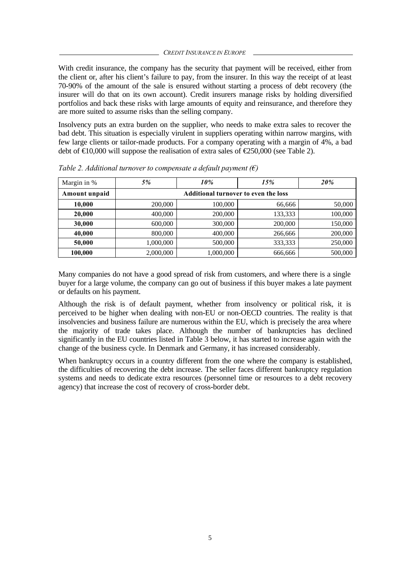With credit insurance, the company has the security that payment will be received, either from the client or, after his client's failure to pay, from the insurer. In this way the receipt of at least 70-90% of the amount of the sale is ensured without starting a process of debt recovery (the insurer will do that on its own account). Credit insurers manage risks by holding diversified portfolios and back these risks with large amounts of equity and reinsurance, and therefore they are more suited to assume risks than the selling company.

Insolvency puts an extra burden on the supplier, who needs to make extra sales to recover the bad debt. This situation is especially virulent in suppliers operating within narrow margins, with few large clients or tailor-made products. For a company operating with a margin of 4%, a bad debt of  $\text{E}10,000$  will suppose the realisation of extra sales of  $\text{E}250,000$  (see Table 2).

| Margin in %   | 5%        | 10%                                         | 15%     | 20%     |
|---------------|-----------|---------------------------------------------|---------|---------|
| Amount unpaid |           | <b>Additional turnover to even the loss</b> |         |         |
| 10,000        | 200,000   | 100,000                                     | 66,666  | 50,000  |
| 20,000        | 400,000   | 200,000                                     | 133,333 | 100,000 |
| 30,000        | 600,000   | 300,000                                     | 200,000 | 150,000 |
| 40,000        | 800,000   | 400,000                                     | 266,666 | 200,000 |
| 50,000        | 1,000,000 | 500,000                                     | 333,333 | 250,000 |
| 100,000       | 2,000,000 | 1,000,000                                   | 666,666 | 500,000 |

*Table 2. Additional turnover to compensate a default payment (€)*

Many companies do not have a good spread of risk from customers, and where there is a single buyer for a large volume, the company can go out of business if this buyer makes a late payment or defaults on his payment.

Although the risk is of default payment, whether from insolvency or political risk, it is perceived to be higher when dealing with non-EU or non-OECD countries. The reality is that insolvencies and business failure are numerous within the EU, which is precisely the area where the majority of trade takes place. Although the number of bankruptcies has declined significantly in the EU countries listed in Table 3 below, it has started to increase again with the change of the business cycle. In Denmark and Germany, it has increased considerably.

When bankruptcy occurs in a country different from the one where the company is established, the difficulties of recovering the debt increase. The seller faces different bankruptcy regulation systems and needs to dedicate extra resources (personnel time or resources to a debt recovery agency) that increase the cost of recovery of cross-border debt.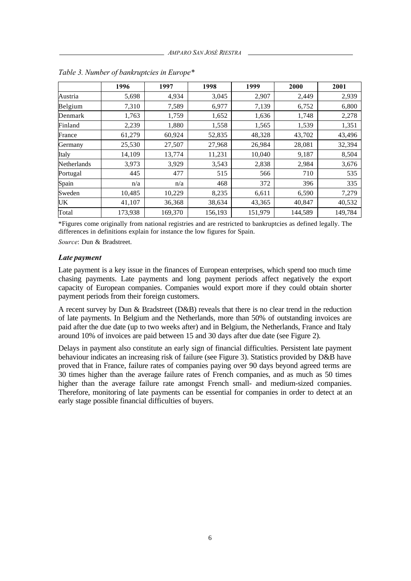|             | 1996    | 1997    | 1998    | 1999    | 2000    | 2001    |
|-------------|---------|---------|---------|---------|---------|---------|
| Austria     | 5,698   | 4,934   | 3,045   | 2,907   | 2,449   | 2,939   |
| Belgium     | 7,310   | 7,589   | 6,977   | 7,139   | 6,752   | 6,800   |
| Denmark     | 1,763   | 1,759   | 1,652   | 1,636   | 1,748   | 2,278   |
| Finland     | 2,239   | 1,880   | 1,558   | 1,565   | 1,539   | 1,351   |
| France      | 61,279  | 60,924  | 52,835  | 48,328  | 43,702  | 43,496  |
| Germany     | 25,530  | 27,507  | 27,968  | 26,984  | 28,081  | 32,394  |
| Italy       | 14,109  | 13,774  | 11,231  | 10,040  | 9,187   | 8,504   |
| Netherlands | 3,973   | 3,929   | 3,543   | 2,838   | 2,984   | 3,676   |
| Portugal    | 445     | 477     | 515     | 566     | 710     | 535     |
| Spain       | n/a     | n/a     | 468     | 372     | 396     | 335     |
| Sweden      | 10,485  | 10,229  | 8,235   | 6,611   | 6,590   | 7,279   |
| UK          | 41,107  | 36,368  | 38,634  | 43,365  | 40,847  | 40,532  |
| Total       | 173,938 | 169,370 | 156,193 | 151,979 | 144,589 | 149,784 |

*Table 3. Number of bankruptcies in Europe\**

\*Figures come originally from national registries and are restricted to bankruptcies as defined legally. The differences in definitions explain for instance the low figures for Spain.

*Source*: Dun & Bradstreet.

#### *Late payment*

Late payment is a key issue in the finances of European enterprises, which spend too much time chasing payments. Late payments and long payment periods affect negatively the export capacity of European companies. Companies would export more if they could obtain shorter payment periods from their foreign customers.

A recent survey by Dun & Bradstreet (D&B) reveals that there is no clear trend in the reduction of late payments. In Belgium and the Netherlands, more than 50% of outstanding invoices are paid after the due date (up to two weeks after) and in Belgium, the Netherlands, France and Italy around 10% of invoices are paid between 15 and 30 days after due date (see Figure 2).

Delays in payment also constitute an early sign of financial difficulties. Persistent late payment behaviour indicates an increasing risk of failure (see Figure 3). Statistics provided by D&B have proved that in France, failure rates of companies paying over 90 days beyond agreed terms are 30 times higher than the average failure rates of French companies, and as much as 50 times higher than the average failure rate amongst French small- and medium-sized companies. Therefore, monitoring of late payments can be essential for companies in order to detect at an early stage possible financial difficulties of buyers.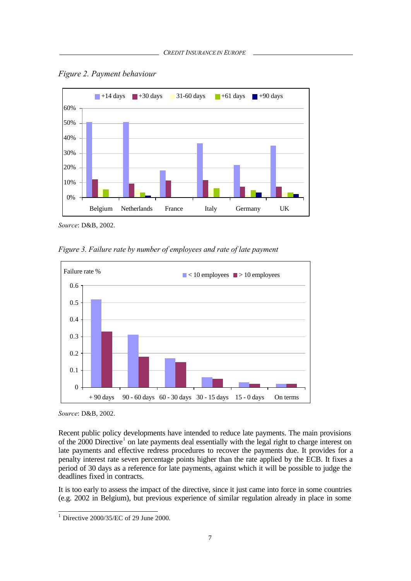

*Figure 2. Payment behaviour*

*Source*: D&B, 2002.

*Figure 3. Failure rate by number of employees and rate of late payment*



*Source*: D&B, 2002.

Recent public policy developments have intended to reduce late payments. The main provisions of the 2000 Directive<sup>1</sup> on late payments deal essentially with the legal right to charge interest on late payments and effective redress procedures to recover the payments due. It provides for a penalty interest rate seven percentage points higher than the rate applied by the ECB. It fixes a period of 30 days as a reference for late payments, against which it will be possible to judge the deadlines fixed in contracts.

It is too early to assess the impact of the directive, since it just came into force in some countries (e.g. 2002 in Belgium), but previous experience of similar regulation already in place in some

 1 Directive 2000/35/EC of 29 June 2000.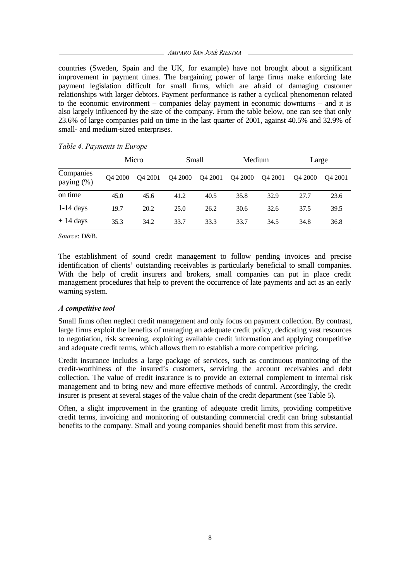*AMPARO SAN JOSÉ RIESTRA*

countries (Sweden, Spain and the UK, for example) have not brought about a significant improvement in payment times. The bargaining power of large firms make enforcing late payment legislation difficult for small firms, which are afraid of damaging customer relationships with larger debtors. Payment performance is rather a cyclical phenomenon related to the economic environment – companies delay payment in economic downturns – and it is also largely influenced by the size of the company. From the table below, one can see that only 23.6% of large companies paid on time in the last quarter of 2001, against 40.5% and 32.9% of small- and medium-sized enterprises.

|                         |                     | Micro               | Small   |         | Medium  |                     | Large               |                     |
|-------------------------|---------------------|---------------------|---------|---------|---------|---------------------|---------------------|---------------------|
| Companies<br>paying (%) | O <sub>4</sub> 2000 | O <sub>4</sub> 2001 | Q4 2000 | Q4 2001 | Q4 2000 | O <sub>4</sub> 2001 | O <sub>4</sub> 2000 | O <sub>4</sub> 2001 |
| on time                 | 45.0                | 45.6                | 41.2    | 40.5    | 35.8    | 32.9                | 27.7                | 23.6                |
| $1-14$ days             | 19.7                | 20.2                | 25.0    | 26.2    | 30.6    | 32.6                | 37.5                | 39.5                |
| $+14$ days              | 35.3                | 34.2                | 33.7    | 33.3    | 33.7    | 34.5                | 34.8                | 36.8                |

*Table 4. Payments in Europe*

*Source*: D&B.

The establishment of sound credit management to follow pending invoices and precise identification of clients' outstanding receivables is particularly beneficial to small companies. With the help of credit insurers and brokers, small companies can put in place credit management procedures that help to prevent the occurrence of late payments and act as an early warning system.

#### *A competitive tool*

Small firms often neglect credit management and only focus on payment collection. By contrast, large firms exploit the benefits of managing an adequate credit policy, dedicating vast resources to negotiation, risk screening, exploiting available credit information and applying competitive and adequate credit terms, which allows them to establish a more competitive pricing.

Credit insurance includes a large package of services, such as continuous monitoring of the credit-worthiness of the insured's customers, servicing the account receivables and debt collection. The value of credit insurance is to provide an external complement to internal risk management and to bring new and more effective methods of control. Accordingly, the credit insurer is present at several stages of the value chain of the credit department (see Table 5).

Often, a slight improvement in the granting of adequate credit limits, providing competitive credit terms, invoicing and monitoring of outstanding commercial credit can bring substantial benefits to the company. Small and young companies should benefit most from this service.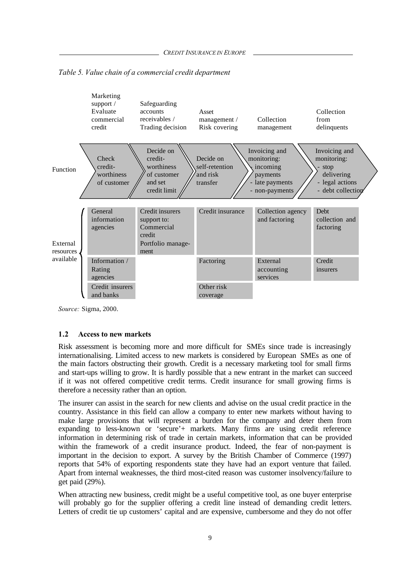

*Table 5. Value chain of a commercial credit department*

*Source:* Sigma, 2000.

#### **1.2 Access to new markets**

Risk assessment is becoming more and more difficult for SMEs since trade is increasingly internationalising. Limited access to new markets is considered by European SMEs as one of the main factors obstructing their growth. Credit is a necessary marketing tool for small firms and start-ups willing to grow. It is hardly possible that a new entrant in the market can succeed if it was not offered competitive credit terms. Credit insurance for small growing firms is therefore a necessity rather than an option.

The insurer can assist in the search for new clients and advise on the usual credit practice in the country. Assistance in this field can allow a company to enter new markets without having to make large provisions that will represent a burden for the company and deter them from expanding to less-known or 'secure'+ markets. Many firms are using credit reference information in determining risk of trade in certain markets, information that can be provided within the framework of a credit insurance product. Indeed, the fear of non-payment is important in the decision to export. A survey by the British Chamber of Commerce (1997) reports that 54% of exporting respondents state they have had an export venture that failed. Apart from internal weaknesses, the third most-cited reason was customer insolvency/failure to get paid (29%).

When attracting new business, credit might be a useful competitive tool, as one buyer enterprise will probably go for the supplier offering a credit line instead of demanding credit letters. Letters of credit tie up customers' capital and are expensive, cumbersome and they do not offer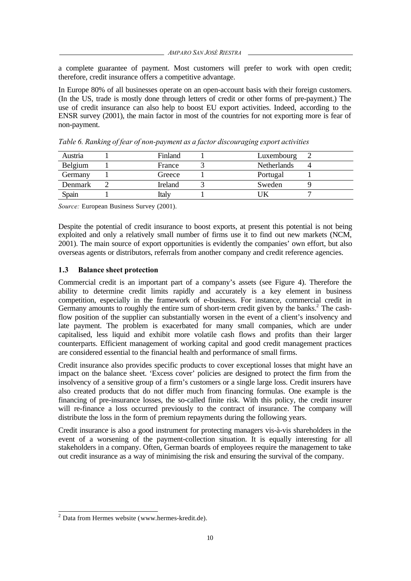*AMPARO SAN JOSÉ RIESTRA*

a complete guarantee of payment. Most customers will prefer to work with open credit; therefore, credit insurance offers a competitive advantage.

In Europe 80% of all businesses operate on an open-account basis with their foreign customers. (In the US, trade is mostly done through letters of credit or other forms of pre-payment.) The use of credit insurance can also help to boost EU export activities. Indeed, according to the ENSR survey (2001), the main factor in most of the countries for not exporting more is fear of non-payment.

| Austria | Finland        | Luxembourg         |  |
|---------|----------------|--------------------|--|
| Belgium | France         | <b>Netherlands</b> |  |
| Germany | Greece         | Portugal           |  |
| Denmark | <b>Ireland</b> | Sweden             |  |
| Spain   | <b>ital</b>    |                    |  |

*Table 6. Ranking of fear of non-payment as a factor discouraging export activities*

*Source:* European Business Survey (2001).

Despite the potential of credit insurance to boost exports, at present this potential is not being exploited and only a relatively small number of firms use it to find out new markets (NCM, 2001). The main source of export opportunities is evidently the companies' own effort, but also overseas agents or distributors, referrals from another company and credit reference agencies.

### **1.3 Balance sheet protection**

Commercial credit is an important part of a company's assets (see Figure 4). Therefore the ability to determine credit limits rapidly and accurately is a key element in business competition, especially in the framework of e-business. For instance, commercial credit in Germany amounts to roughly the entire sum of short-term credit given by the banks.<sup>2</sup> The cashflow position of the supplier can substantially worsen in the event of a client's insolvency and late payment. The problem is exacerbated for many small companies, which are under capitalised, less liquid and exhibit more volatile cash flows and profits than their larger counterparts. Efficient management of working capital and good credit management practices are considered essential to the financial health and performance of small firms.

Credit insurance also provides specific products to cover exceptional losses that might have an impact on the balance sheet. 'Excess cover' policies are designed to protect the firm from the insolvency of a sensitive group of a firm's customers or a single large loss. Credit insurers have also created products that do not differ much from financing formulas. One example is the financing of pre-insurance losses, the so-called finite risk. With this policy, the credit insurer will re-finance a loss occurred previously to the contract of insurance. The company will distribute the loss in the form of premium repayments during the following years.

Credit insurance is also a good instrument for protecting managers vis-à-vis shareholders in the event of a worsening of the payment-collection situation. It is equally interesting for all stakeholders in a company. Often, German boards of employees require the management to take out credit insurance as a way of minimising the risk and ensuring the survival of the company.

 2 Data from Hermes website (www.hermes-kredit.de).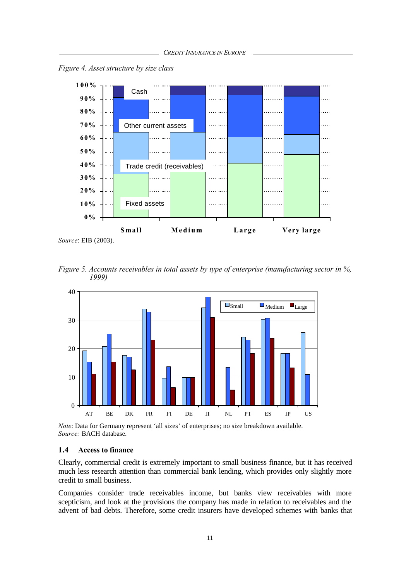*Figure 4. Asset structure by size class*



*Source*: EIB (2003).

*Figure 5. Accounts receivables in total assets by type of enterprise (manufacturing sector in %, 1999)*



*Note*: Data for Germany represent 'all sizes' of enterprises; no size breakdown available. *Source:* BACH database.

#### **1.4 Access to finance**

Clearly, commercial credit is extremely important to small business finance, but it has received much less research attention than commercial bank lending, which provides only slightly more credit to small business.

Companies consider trade receivables income, but banks view receivables with more scepticism, and look at the provisions the company has made in relation to receivables and the advent of bad debts. Therefore, some credit insurers have developed schemes with banks that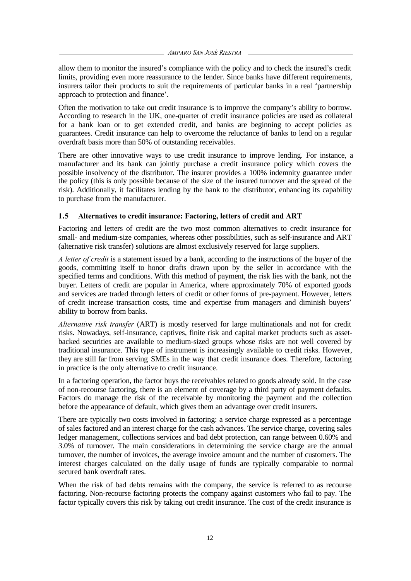*AMPARO SAN JOSÉ RIESTRA*

allow them to monitor the insured's compliance with the policy and to check the insured's credit limits, providing even more reassurance to the lender. Since banks have different requirements, insurers tailor their products to suit the requirements of particular banks in a real 'partnership approach to protection and finance'.

Often the motivation to take out credit insurance is to improve the company's ability to borrow. According to research in the UK, one-quarter of credit insurance policies are used as collateral for a bank loan or to get extended credit, and banks are beginning to accept policies as guarantees. Credit insurance can help to overcome the reluctance of banks to lend on a regular overdraft basis more than 50% of outstanding receivables.

There are other innovative ways to use credit insurance to improve lending. For instance, a manufacturer and its bank can jointly purchase a credit insurance policy which covers the possible insolvency of the distributor. The insurer provides a 100% indemnity guarantee under the policy (this is only possible because of the size of the insured turnover and the spread of the risk). Additionally, it facilitates lending by the bank to the distributor, enhancing its capability to purchase from the manufacturer.

### **1.5 Alternatives to credit insurance: Factoring, letters of credit and ART**

Factoring and letters of credit are the two most common alternatives to credit insurance for small- and medium-size companies, whereas other possibilities, such as self-insurance and ART (alternative risk transfer) solutions are almost exclusively reserved for large suppliers.

*A letter of credit* is a statement issued by a bank, according to the instructions of the buyer of the goods, committing itself to honor drafts drawn upon by the seller in accordance with the specified terms and conditions. With this method of payment, the risk lies with the bank, not the buyer. Letters of credit are popular in America, where approximately 70% of exported goods and services are traded through letters of credit or other forms of pre-payment. However, letters of credit increase transaction costs, time and expertise from managers and diminish buyers' ability to borrow from banks.

*Alternative risk transfer* (ART) is mostly reserved for large multinationals and not for credit risks. Nowadays, self-insurance, captives, finite risk and capital market products such as assetbacked securities are available to medium-sized groups whose risks are not well covered by traditional insurance. This type of instrument is increasingly available to credit risks. However, they are still far from serving SMEs in the way that credit insurance does. Therefore, factoring in practice is the only alternative to credit insurance.

In a factoring operation, the factor buys the receivables related to goods already sold. In the case of non-recourse factoring, there is an element of coverage by a third party of payment defaults. Factors do manage the risk of the receivable by monitoring the payment and the collection before the appearance of default, which gives them an advantage over credit insurers.

There are typically two costs involved in factoring: a service charge expressed as a percentage of sales factored and an interest charge for the cash advances. The service charge, covering sales ledger management, collections services and bad debt protection, can range between 0.60% and 3.0% of turnover. The main considerations in determining the service charge are the annual turnover, the number of invoices, the average invoice amount and the number of customers. The interest charges calculated on the daily usage of funds are typically comparable to normal secured bank overdraft rates.

When the risk of bad debts remains with the company, the service is referred to as recourse factoring. Non-recourse factoring protects the company against customers who fail to pay. The factor typically covers this risk by taking out credit insurance. The cost of the credit insurance is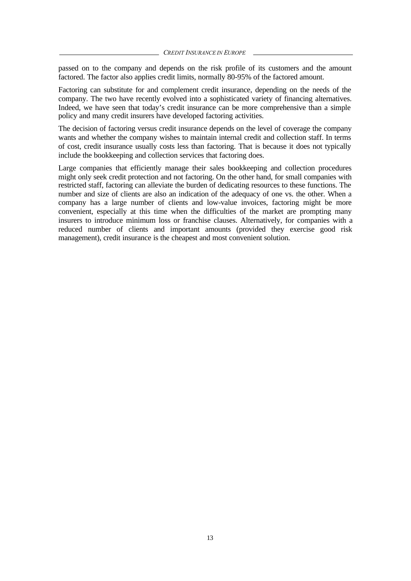passed on to the company and depends on the risk profile of its customers and the amount factored. The factor also applies credit limits, normally 80-95% of the factored amount.

Factoring can substitute for and complement credit insurance, depending on the needs of the company. The two have recently evolved into a sophisticated variety of financing alternatives. Indeed, we have seen that today's credit insurance can be more comprehensive than a simple policy and many credit insurers have developed factoring activities.

The decision of factoring versus credit insurance depends on the level of coverage the company wants and whether the company wishes to maintain internal credit and collection staff. In terms of cost, credit insurance usually costs less than factoring. That is because it does not typically include the bookkeeping and collection services that factoring does.

Large companies that efficiently manage their sales bookkeeping and collection procedures might only seek credit protection and not factoring. On the other hand, for small companies with restricted staff, factoring can alleviate the burden of dedicating resources to these functions. The number and size of clients are also an indication of the adequacy of one vs. the other. When a company has a large number of clients and low-value invoices, factoring might be more convenient, especially at this time when the difficulties of the market are prompting many insurers to introduce minimum loss or franchise clauses. Alternatively, for companies with a reduced number of clients and important amounts (provided they exercise good risk management), credit insurance is the cheapest and most convenient solution.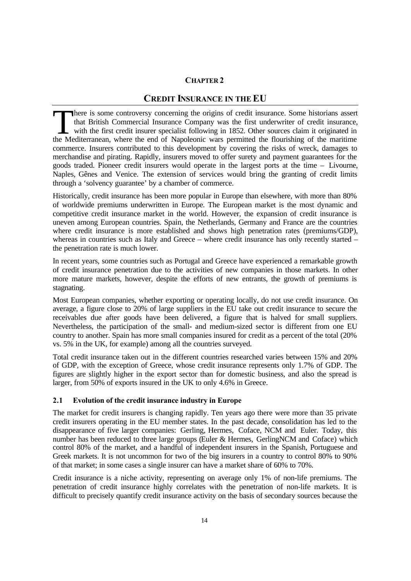## **CHAPTER 2**

## **CREDIT INSURANCE IN THE EU**

There is some controversy concerning the origins of credit insurance. Some historians assert that British Commercial Insurance Company was the first underwriter of credit insurance, with the first credit insurer specialist following in 1852. Other sources claim it originated in There is some controversy concerning the origins of credit insurance. Some historians assert that British Commercial Insurance Company was the first underwriter of credit insurance, with the first credit insurer specialist commerce. Insurers contributed to this development by covering the risks of wreck, damages to merchandise and pirating. Rapidly, insurers moved to offer surety and payment guarantees for the goods traded. Pioneer credit insurers would operate in the largest ports at the time – Livourne, Naples, Gênes and Venice. The extension of services would bring the granting of credit limits through a 'solvency guarantee' by a chamber of commerce.

Historically, credit insurance has been more popular in Europe than elsewhere, with more than 80% of worldwide premiums underwritten in Europe. The European market is the most dynamic and competitive credit insurance market in the world. However, the expansion of credit insurance is uneven among European countries. Spain, the Netherlands, Germany and France are the countries where credit insurance is more established and shows high penetration rates (premiums/GDP), whereas in countries such as Italy and Greece – where credit insurance has only recently started – the penetration rate is much lower.

In recent years, some countries such as Portugal and Greece have experienced a remarkable growth of credit insurance penetration due to the activities of new companies in those markets. In other more mature markets, however, despite the efforts of new entrants, the growth of premiums is stagnating.

Most European companies, whether exporting or operating locally, do not use credit insurance. On average, a figure close to 20% of large suppliers in the EU take out credit insurance to secure the receivables due after goods have been delivered, a figure that is halved for small suppliers. Nevertheless, the participation of the small- and medium-sized sector is different from one EU country to another. Spain has more small companies insured for credit as a percent of the total (20% vs. 5% in the UK, for example) among all the countries surveyed.

Total credit insurance taken out in the different countries researched varies between 15% and 20% of GDP, with the exception of Greece, whose credit insurance represents only 1.7% of GDP. The figures are slightly higher in the export sector than for domestic business, and also the spread is larger, from 50% of exports insured in the UK to only 4.6% in Greece.

#### **2.1 Evolution of the credit insurance industry in Europe**

The market for credit insurers is changing rapidly. Ten years ago there were more than 35 private credit insurers operating in the EU member states. In the past decade, consolidation has led to the disappearance of five larger companies: Gerling, Hermes, Coface, NCM and Euler. Today, this number has been reduced to three large groups (Euler & Hermes, GerlingNCM and Coface) which control 80% of the market, and a handful of independent insurers in the Spanish, Portuguese and Greek markets. It is not uncommon for two of the big insurers in a country to control 80% to 90% of that market; in some cases a single insurer can have a market share of 60% to 70%.

Credit insurance is a niche activity, representing on average only 1% of non-life premiums. The penetration of credit insurance highly correlates with the penetration of non-life markets. It is difficult to precisely quantify credit insurance activity on the basis of secondary sources because the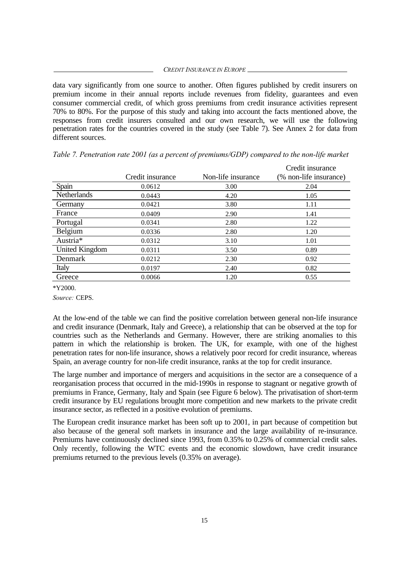data vary significantly from one source to another. Often figures published by credit insurers on premium income in their annual reports include revenues from fidelity, guarantees and even consumer commercial credit, of which gross premiums from credit insurance activities represent 70% to 80%. For the purpose of this study and taking into account the facts mentioned above, the responses from credit insurers consulted and our own research, we will use the following penetration rates for the countries covered in the study (see Table 7). See Annex 2 for data from different sources.

|                |                  |                    | Credit insurance       |
|----------------|------------------|--------------------|------------------------|
|                | Credit insurance | Non-life insurance | (% non-life insurance) |
| Spain          | 0.0612           | 3.00               | 2.04                   |
| Netherlands    | 0.0443           | 4.20               | 1.05                   |
| Germany        | 0.0421           | 3.80               | 1.11                   |
| France         | 0.0409           | 2.90               | 1.41                   |
| Portugal       | 0.0341           | 2.80               | 1.22                   |
| Belgium        | 0.0336           | 2.80               | 1.20                   |
| Austria*       | 0.0312           | 3.10               | 1.01                   |
| United Kingdom | 0.0311           | 3.50               | 0.89                   |
| Denmark        | 0.0212           | 2.30               | 0.92                   |
| Italy          | 0.0197           | 2.40               | 0.82                   |
| Greece         | 0.0066           | 1.20               | 0.55                   |

*Table 7. Penetration rate 2001 (as a percent of premiums/GDP) compared to the non-life market*

\*Y2000.

*Source:* CEPS.

At the low-end of the table we can find the positive correlation between general non-life insurance and credit insurance (Denmark, Italy and Greece), a relationship that can be observed at the top for countries such as the Netherlands and Germany. However, there are striking anomalies to this pattern in which the relationship is broken. The UK, for example, with one of the highest penetration rates for non-life insurance, shows a relatively poor record for credit insurance, whereas Spain, an average country for non-life credit insurance, ranks at the top for credit insurance.

The large number and importance of mergers and acquisitions in the sector are a consequence of a reorganisation process that occurred in the mid-1990s in response to stagnant or negative growth of premiums in France, Germany, Italy and Spain (see Figure 6 below). The privatisation of short-term credit insurance by EU regulations brought more competition and new markets to the private credit insurance sector, as reflected in a positive evolution of premiums.

The European credit insurance market has been soft up to 2001, in part because of competition but also because of the general soft markets in insurance and the large availability of re-insurance. Premiums have continuously declined since 1993, from 0.35% to 0.25% of commercial credit sales. Only recently, following the WTC events and the economic slowdown, have credit insurance premiums returned to the previous levels (0.35% on average).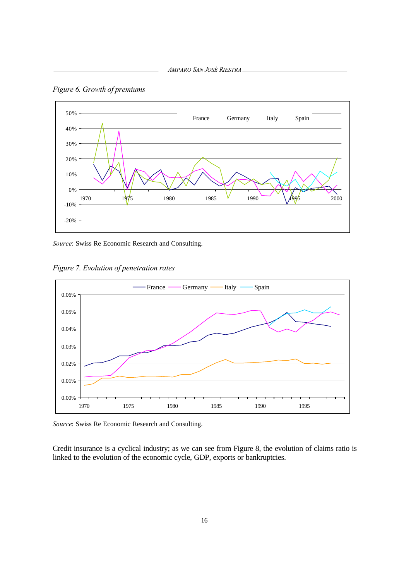

*Figure 6. Growth of premiums*

*Source*: Swiss Re Economic Research and Consulting.

*Figure 7. Evolution of penetration rates*



*Source*: Swiss Re Economic Research and Consulting.

Credit insurance is a cyclical industry; as we can see from Figure 8, the evolution of claims ratio is linked to the evolution of the economic cycle, GDP, exports or bankruptcies.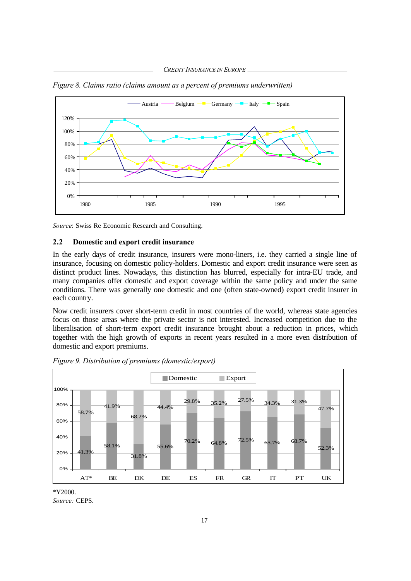

*Figure 8. Claims ratio (claims amount as a percent of premiums underwritten)*

*Source*: Swiss Re Economic Research and Consulting.

#### **2.2 Domestic and export credit insurance**

In the early days of credit insurance, insurers were mono-liners, i.e. they carried a single line of insurance, focusing on domestic policy-holders. Domestic and export credit insurance were seen as distinct product lines. Nowadays, this distinction has blurred, especially for intra-EU trade, and many companies offer domestic and export coverage within the same policy and under the same conditions. There was generally one domestic and one (often state-owned) export credit insurer in each country.

Now credit insurers cover short-term credit in most countries of the world, whereas state agencies focus on those areas where the private sector is not interested. Increased competition due to the liberalisation of short-term export credit insurance brought about a reduction in prices, which together with the high growth of exports in recent years resulted in a more even distribution of domestic and export premiums.



*Figure 9. Distribution of premiums (domestic/export)*

\*Y2000.

*Source:* CEPS.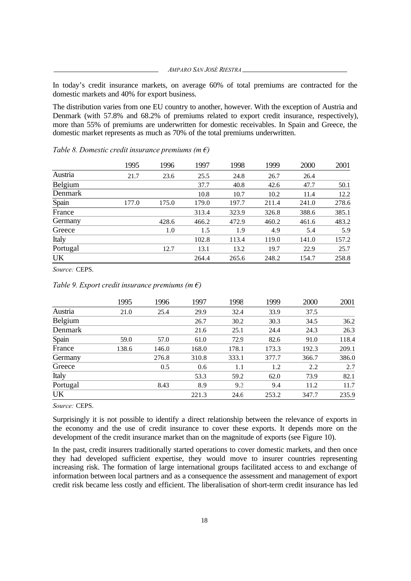In today's credit insurance markets, on average 60% of total premiums are contracted for the domestic markets and 40% for export business.

The distribution varies from one EU country to another, however. With the exception of Austria and Denmark (with 57.8% and 68.2% of premiums related to export credit insurance, respectively), more than 55% of premiums are underwritten for domestic receivables. In Spain and Greece, the domestic market represents as much as 70% of the total premiums underwritten.

|           | 1995  | 1996  | 1997  | 1998  | 1999  | 2000  | 2001  |
|-----------|-------|-------|-------|-------|-------|-------|-------|
| Austria   | 21.7  | 23.6  | 25.5  | 24.8  | 26.7  | 26.4  |       |
| Belgium   |       |       | 37.7  | 40.8  | 42.6  | 47.7  | 50.1  |
| Denmark   |       |       | 10.8  | 10.7  | 10.2  | 11.4  | 12.2  |
| Spain     | 177.0 | 175.0 | 179.0 | 197.7 | 211.4 | 241.0 | 278.6 |
| France    |       |       | 313.4 | 323.9 | 326.8 | 388.6 | 385.1 |
| Germany   |       | 428.6 | 466.2 | 472.9 | 460.2 | 461.6 | 483.2 |
| Greece    |       | 1.0   | 1.5   | 1.9   | 4.9   | 5.4   | 5.9   |
| Italy     |       |       | 102.8 | 113.4 | 119.0 | 141.0 | 157.2 |
| Portugal  |       | 12.7  | 13.1  | 13.2  | 19.7  | 22.9  | 25.7  |
| <b>UK</b> |       |       | 264.4 | 265.6 | 248.2 | 154.7 | 258.8 |

*Table 8. Domestic credit insurance premiums (m €)*

*Source:* CEPS.

#### *Table 9. Export credit insurance premiums (m €)*

|          | 1995  | 1996  | 1997  | 1998  | 1999  | 2000  | 2001  |
|----------|-------|-------|-------|-------|-------|-------|-------|
| Austria  | 21.0  | 25.4  | 29.9  | 32.4  | 33.9  | 37.5  |       |
| Belgium  |       |       | 26.7  | 30.2  | 30.3  | 34.5  | 36.2  |
| Denmark  |       |       | 21.6  | 25.1  | 24.4  | 24.3  | 26.3  |
| Spain    | 59.0  | 57.0  | 61.0  | 72.9  | 82.6  | 91.0  | 118.4 |
| France   | 138.6 | 146.0 | 168.0 | 178.1 | 173.3 | 192.3 | 209.1 |
| Germany  |       | 276.8 | 310.8 | 333.1 | 377.7 | 366.7 | 386.0 |
| Greece   |       | 0.5   | 0.6   | 1.1   | 1.2   | 2.2   | 2.7   |
| Italy    |       |       | 53.3  | 59.2  | 62.0  | 73.9  | 82.1  |
| Portugal |       | 8.43  | 8.9   | 9.3   | 9.4   | 11.2  | 11.7  |
| UK       |       |       | 221.3 | 24.6  | 253.2 | 347.7 | 235.9 |

*Source:* CEPS.

Surprisingly it is not possible to identify a direct relationship between the relevance of exports in the economy and the use of credit insurance to cover these exports. It depends more on the development of the credit insurance market than on the magnitude of exports (see Figure 10).

In the past, credit insurers traditionally started operations to cover domestic markets, and then once they had developed sufficient expertise, they would move to insurer countries representing increasing risk. The formation of large international groups facilitated access to and exchange of information between local partners and as a consequence the assessment and management of export credit risk became less costly and efficient. The liberalisation of short-term credit insurance has led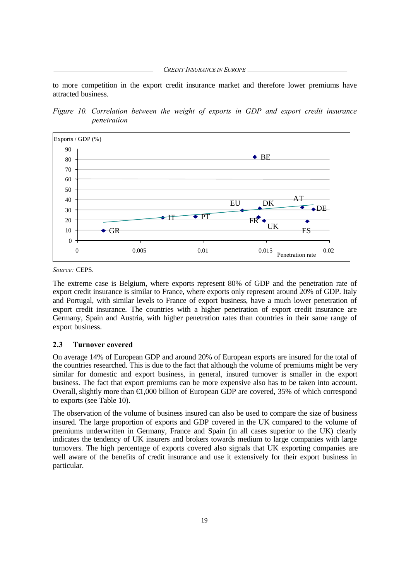*CREDIT INSURANCE IN EUROPE*

to more competition in the export credit insurance market and therefore lower premiums have attracted business.

*Figure 10. Correlation between the weight of exports in GDP and export credit insurance penetration*



*Source:* CEPS.

The extreme case is Belgium, where exports represent 80% of GDP and the penetration rate of export credit insurance is similar to France, where exports only represent around 20% of GDP. Italy and Portugal, with similar levels to France of export business, have a much lower penetration of export credit insurance. The countries with a higher penetration of export credit insurance are Germany, Spain and Austria, with higher penetration rates than countries in their same range of export business.

#### **2.3 Turnover covered**

On average 14% of European GDP and around 20% of European exports are insured for the total of the countries researched. This is due to the fact that although the volume of premiums might be very similar for domestic and export business, in general, insured turnover is smaller in the export business. The fact that export premiums can be more expensive also has to be taken into account. Overall, slightly more than €1,000 billion of European GDP are covered, 35% of which correspond to exports (see Table 10).

The observation of the volume of business insured can also be used to compare the size of business insured. The large proportion of exports and GDP covered in the UK compared to the volume of premiums underwritten in Germany, France and Spain (in all cases superior to the UK) clearly indicates the tendency of UK insurers and brokers towards medium to large companies with large turnovers. The high percentage of exports covered also signals that UK exporting companies are well aware of the benefits of credit insurance and use it extensively for their export business in particular.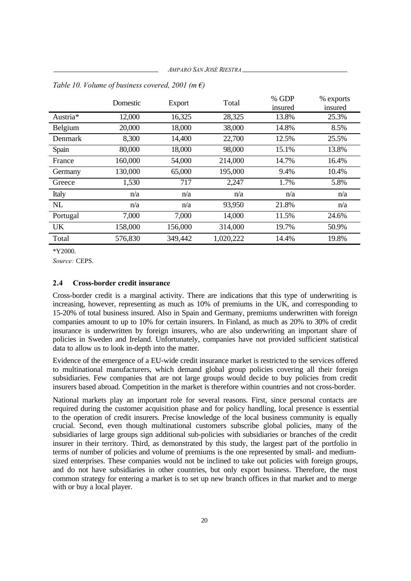*AMPARO SAN JOSÉ RIESTRA*

|           | Domestic | Export  | Total     | % GDP<br>insured | % exports<br>insured |
|-----------|----------|---------|-----------|------------------|----------------------|
| Austria*  | 12,000   | 16,325  | 28,325    | 13.8%            | 25.3%                |
| Belgium   | 20,000   | 18,000  | 38,000    | 14.8%            | 8.5%                 |
| Denmark   | 8,300    | 14,400  | 22,700    | 12.5%            | 25.5%                |
| Spain     | 80,000   | 18,000  | 98,000    | 15.1%            | 13.8%                |
| France    | 160,000  | 54,000  | 214,000   | 14.7%            | 16.4%                |
| Germany   | 130,000  | 65,000  | 195,000   | 9.4%             | 10.4%                |
| Greece    | 1,530    | 717     | 2,247     | 1.7%             | 5.8%                 |
| Italy     | n/a      | n/a     | n/a       | n/a              | n/a                  |
| NL        | n/a      | n/a     | 93,950    | 21.8%            | n/a                  |
| Portugal  | 7,000    | 7,000   | 14,000    | 11.5%            | 24.6%                |
| <b>UK</b> | 158,000  | 156,000 | 314,000   | 19.7%            | 50.9%                |
| Total     | 576,830  | 349,442 | 1,020,222 | 14.4%            | 19.8%                |

*Table 10. Volume of business covered, 2001 (m €)*

\*Y2000.

*Source:* CEPS.

#### **2.4 Cross-border credit insurance**

Cross-border credit is a marginal activity. There are indications that this type of underwriting is increasing, however, representing as much as 10% of premiums in the UK, and corresponding to 15-20% of total business insured. Also in Spain and Germany, premiums underwritten with foreign companies amount to up to 10% for certain insurers. In Finland, as much as 20% to 30% of credit insurance is underwritten by foreign insurers, who are also underwriting an important share of policies in Sweden and Ireland. Unfortunately, companies have not provided sufficient statistical data to allow us to look in-depth into the matter.

Evidence of the emergence of a EU-wide credit insurance market is restricted to the services offered to multinational manufacturers, which demand global group policies covering all their foreign subsidiaries. Few companies that are not large groups would decide to buy policies from credit insurers based abroad. Competition in the market is therefore within countries and not cross-border.

National markets play an important role for several reasons. First, since personal contacts are required during the customer acquisition phase and for policy handling, local presence is essential to the operation of credit insurers. Precise knowledge of the local business community is equally crucial. Second, even though multinational customers subscribe global policies, many of the subsidiaries of large groups sign additional sub-policies with subsidiaries or branches of the credit insurer in their territory. Third, as demonstrated by this study, the largest part of the portfolio in terms of number of policies and volume of premiums is the one represented by small- and mediumsized enterprises. These companies would not be inclined to take out policies with foreign groups, and do not have subsidiaries in other countries, but only export business. Therefore, the most common strategy for entering a market is to set up new branch offices in that market and to merge with or buy a local player.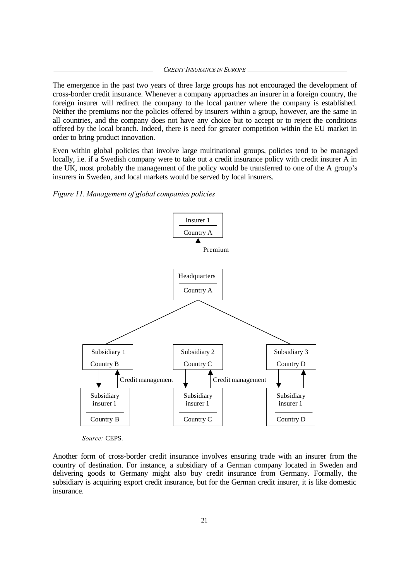#### *CREDIT INSURANCE IN EUROPE*

The emergence in the past two years of three large groups has not encouraged the development of cross-border credit insurance. Whenever a company approaches an insurer in a foreign country, the foreign insurer will redirect the company to the local partner where the company is established. Neither the premiums nor the policies offered by insurers within a group, however, are the same in all countries, and the company does not have any choice but to accept or to reject the conditions offered by the local branch. Indeed, there is need for greater competition within the EU market in order to bring product innovation.

Even within global policies that involve large multinational groups, policies tend to be managed locally, i.e. if a Swedish company were to take out a credit insurance policy with credit insurer A in the UK, most probably the management of the policy would be transferred to one of the A group's insurers in Sweden, and local markets would be served by local insurers.

#### *Figure 11. Management of global companies policies*



*Source:* CEPS.

Another form of cross-border credit insurance involves ensuring trade with an insurer from the country of destination. For instance, a subsidiary of a German company located in Sweden and delivering goods to Germany might also buy credit insurance from Germany. Formally, the subsidiary is acquiring export credit insurance, but for the German credit insurer, it is like domestic insurance.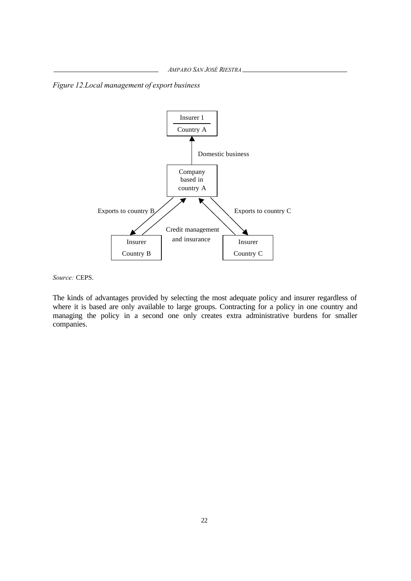*AMPARO SAN JOSÉ RIESTRA*

*Figure 12.Local management of export business*



*Source:* CEPS.

The kinds of advantages provided by selecting the most adequate policy and insurer regardless of where it is based are only available to large groups. Contracting for a policy in one country and managing the policy in a second one only creates extra administrative burdens for smaller companies.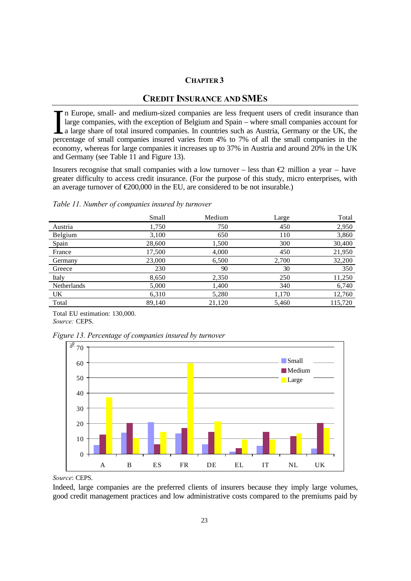#### **CHAPTER 3**

## **CREDIT INSURANCE AND SMES**

n Europe, small- and medium-sized companies are less frequent users of credit insurance than large companies, with the exception of Belgium and Spain – where small companies account for a large share of total insured companies. In countries such as Austria, Germany or the UK, the In Europe, small- and medium-sized companies are less frequent users of credit insurance than large companies, with the exception of Belgium and Spain – where small companies account for a large share of total insured comp economy, whereas for large companies it increases up to 37% in Austria and around 20% in the UK and Germany (see Table 11 and Figure 13).

Insurers recognise that small companies with a low turnover – less than  $\bigoplus$  million a year – have greater difficulty to access credit insurance. (For the purpose of this study, micro enterprises, with an average turnover of  $\epsilon 200,000$  in the EU, are considered to be not insurable.)

#### *Table 11. Number of companies insured by turnover*

|             | Small  | Medium | Large | Total   |
|-------------|--------|--------|-------|---------|
| Austria     | 1,750  | 750    | 450   | 2,950   |
| Belgium     | 3,100  | 650    | 110   | 3,860   |
| Spain       | 28,600 | 1,500  | 300   | 30,400  |
| France      | 17,500 | 4,000  | 450   | 21,950  |
| Germany     | 23,000 | 6,500  | 2,700 | 32,200  |
| Greece      | 230    | 90     | 30    | 350     |
| Italy       | 8,650  | 2,350  | 250   | 11,250  |
| Netherlands | 5,000  | 1,400  | 340   | 6,740   |
| UK          | 6,310  | 5,280  | 1,170 | 12,760  |
| Total       | 89,140 | 21,120 | 5,460 | 115,720 |

Total EU estimation: 130,000. *Source:* CEPS.





*Source*: CEPS.

Indeed, large companies are the preferred clients of insurers because they imply large volumes, good credit management practices and low administrative costs compared to the premiums paid by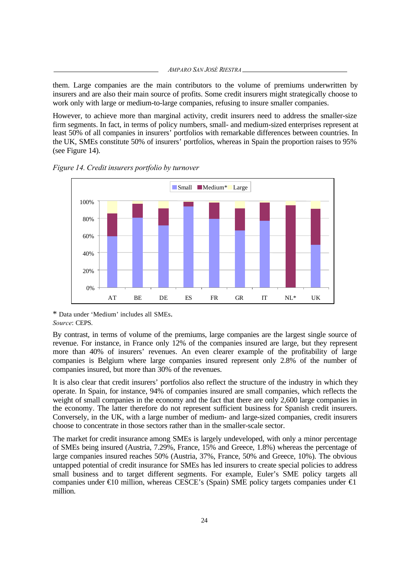*AMPARO SAN JOSÉ RIESTRA*

them. Large companies are the main contributors to the volume of premiums underwritten by insurers and are also their main source of profits. Some credit insurers might strategically choose to work only with large or medium-to-large companies, refusing to insure smaller companies.

However, to achieve more than marginal activity, credit insurers need to address the smaller-size firm segments. In fact, in terms of policy numbers, small- and medium-sized enterprises represent at least 50% of all companies in insurers' portfolios with remarkable differences between countries. In the UK, SMEs constitute 50% of insurers' portfolios, whereas in Spain the proportion raises to 95% (see Figure 14).



*Figure 14. Credit insurers portfolio by turnover*

\* Data under 'Medium' includes all SMEs. *Source*: CEPS.

By contrast, in terms of volume of the premiums, large companies are the largest single source of revenue. For instance, in France only 12% of the companies insured are large, but they represent more than 40% of insurers' revenues. An even clearer example of the profitability of large companies is Belgium where large companies insured represent only 2.8% of the number of companies insured, but more than 30% of the revenues.

It is also clear that credit insurers' portfolios also reflect the structure of the industry in which they operate. In Spain, for instance, 94% of companies insured are small companies, which reflects the weight of small companies in the economy and the fact that there are only 2,600 large companies in the economy. The latter therefore do not represent sufficient business for Spanish credit insurers. Conversely, in the UK, with a large number of medium- and large-sized companies, credit insurers choose to concentrate in those sectors rather than in the smaller-scale sector.

The market for credit insurance among SMEs is largely undeveloped, with only a minor percentage of SMEs being insured (Austria, 7.29%, France, 15% and Greece, 1.8%) whereas the percentage of large companies insured reaches 50% (Austria, 37%, France, 50% and Greece, 10%). The obvious untapped potential of credit insurance for SMEs has led insurers to create special policies to address small business and to target different segments. For example, Euler's SME policy targets all companies under  $\epsilon$ 10 million, whereas CESCE's (Spain) SME policy targets companies under  $\epsilon$ 1 million.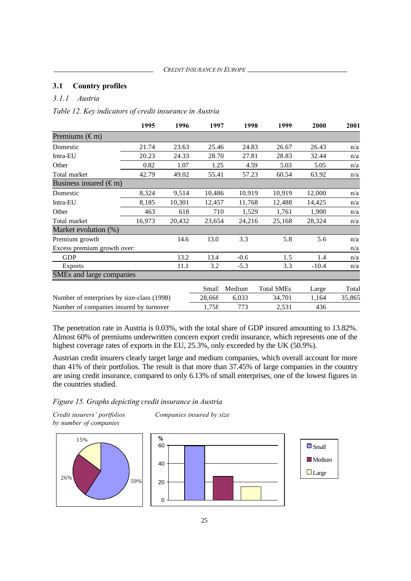#### **3.1 Country profiles**

## *3.1.1 Austria*

*Table 12. Key indicators of credit insurance in Austria*

|                                            | 1995   | 1996   | 1997   | 1998   | 1999              | 2000    | 2001   |
|--------------------------------------------|--------|--------|--------|--------|-------------------|---------|--------|
| Premiums $(\epsilon m)$                    |        |        |        |        |                   |         |        |
| Domestic                                   | 21.74  | 23.63  | 25.46  | 24.83  | 26.67             | 26.43   | n/a    |
| Intra-EU                                   | 20.23  | 24.33  | 28.70  | 27.81  | 28.83             | 32.44   | n/a    |
| Other                                      | 0.82   | 1.07   | 1.25   | 4.59   | 5.03              | 5.05    | n/a    |
| Total market                               | 42.79  | 49.02  | 55.41  | 57.23  | 60.54             | 63.92   | n/a    |
| Business insured $(\epsilon m)$            |        |        |        |        |                   |         |        |
| Domestic                                   | 8,324  | 9,514  | 10,486 | 10,919 | 10,919            | 12,000  | n/a    |
| Intra-EU                                   | 8,185  | 10,301 | 12,457 | 11,768 | 12,488            | 14,425  | n/a    |
| Other                                      | 463    | 618    | 710    | 1,529  | 1,761             | 1,900   | n/a    |
| Total market                               | 16,973 | 20,432 | 23,654 | 24,216 | 25,168            | 28,324  | n/a    |
| Market evolution (%)                       |        |        |        |        |                   |         |        |
| Premium growth                             |        | 14.6   | 13.0   | 3.3    | 5.8               | 5.6     | n/a    |
| Excess premium growth over:                |        |        |        |        |                   |         | n/a    |
| <b>GDP</b>                                 |        | 13.2   | 13.4   | $-0.6$ | 1.5               | 1.4     | n/a    |
| <b>Exports</b>                             |        | 11.1   | 3.2    | $-5.3$ | 3.3               | $-10.4$ | n/a    |
| SMEs and large companies                   |        |        |        |        |                   |         |        |
|                                            |        |        | Small  | Medium | <b>Total SMEs</b> | Large   | Total  |
| Number of enterprises by size-class (1998) |        |        | 28,668 | 6,033  | 34,701            | 1,164   | 35,865 |
| Number of companies insured by turnover    |        |        | 1,758  | 773    | 2,531             | 436     |        |

The penetration rate in Austria is 0.03%, with the total share of GDP insured amounting to 13.82%. Almost 60% of premiums underwritten concern export credit insurance, which represents one of the highest coverage rates of exports in the EU, 25.3%, only exceeded by the UK (50.9%).

Austrian credit insurers clearly target large and medium companies, which overall account for more than 41% of their portfolios. The result is that more than 37.45% of large companies in the country are using credit insurance, compared to only 6.13% of small enterprises, one of the lowest figures in the countries studied.

*Figure 15. Graphs depicting credit insurance in Austria*

*by number of companies*



*Credit insurers' portfolios Companies insured by size*



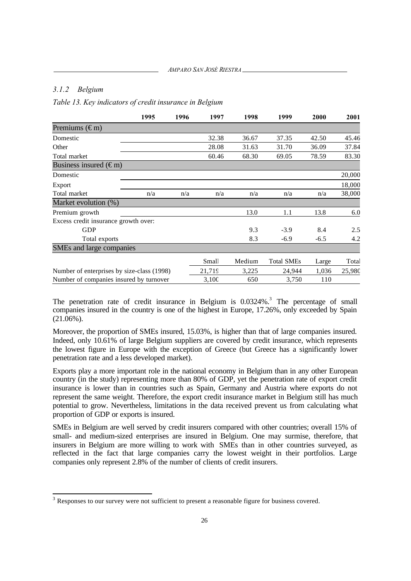## *3.1.2 Belgium*

 $\overline{a}$ 

*Table 13. Key indicators of credit insurance in Belgium*

| 1995                                       | 1996 | 1997   | 1998   | 1999              | 2000   | 2001   |
|--------------------------------------------|------|--------|--------|-------------------|--------|--------|
| Premiums $(\epsilon m)$                    |      |        |        |                   |        |        |
| Domestic                                   |      | 32.38  | 36.67  | 37.35             | 42.50  | 45.46  |
| Other                                      |      | 28.08  | 31.63  | 31.70             | 36.09  | 37.84  |
| Total market                               |      | 60.46  | 68.30  | 69.05             | 78.59  | 83.30  |
| Business insured $(\epsilon m)$            |      |        |        |                   |        |        |
| Domestic                                   |      |        |        |                   |        | 20,000 |
| Export                                     |      |        |        |                   |        | 18,000 |
| Total market<br>n/a                        | n/a  | n/a    | n/a    | n/a               | n/a    | 38,000 |
| Market evolution (%)                       |      |        |        |                   |        |        |
| Premium growth                             |      |        | 13.0   | 1.1               | 13.8   | 6.0    |
| Excess credit insurance growth over:       |      |        |        |                   |        |        |
| <b>GDP</b>                                 |      |        | 9.3    | $-3.9$            | 8.4    | 2.5    |
| Total exports                              |      |        | 8.3    | $-6.9$            | $-6.5$ | 4.2    |
| SMEs and large companies                   |      |        |        |                   |        |        |
|                                            |      | Small  | Medium | <b>Total SMEs</b> | Large  | Total  |
| Number of enterprises by size-class (1998) |      | 21,719 | 3,225  | 24,944            | 1,036  | 25,980 |
| Number of companies insured by turnover    |      | 3,100  | 650    | 3,750             | 110    |        |

The penetration rate of credit insurance in Belgium is 0.0324%.<sup>3</sup> The percentage of small companies insured in the country is one of the highest in Europe, 17.26%, only exceeded by Spain (21.06%).

Moreover, the proportion of SMEs insured, 15.03%, is higher than that of large companies insured. Indeed, only 10.61% of large Belgium suppliers are covered by credit insurance, which represents the lowest figure in Europe with the exception of Greece (but Greece has a significantly lower penetration rate and a less developed market).

Exports play a more important role in the national economy in Belgium than in any other European country (in the study) representing more than 80% of GDP, yet the penetration rate of export credit insurance is lower than in countries such as Spain, Germany and Austria where exports do not represent the same weight. Therefore, the export credit insurance market in Belgium still has much potential to grow. Nevertheless, limitations in the data received prevent us from calculating what proportion of GDP or exports is insured.

SMEs in Belgium are well served by credit insurers compared with other countries; overall 15% of small- and medium-sized enterprises are insured in Belgium. One may surmise, therefore, that insurers in Belgium are more willing to work with SMEs than in other countries surveyed, as reflected in the fact that large companies carry the lowest weight in their portfolios. Large companies only represent 2.8% of the number of clients of credit insurers.

 $3$  Responses to our survey were not sufficient to present a reasonable figure for business covered.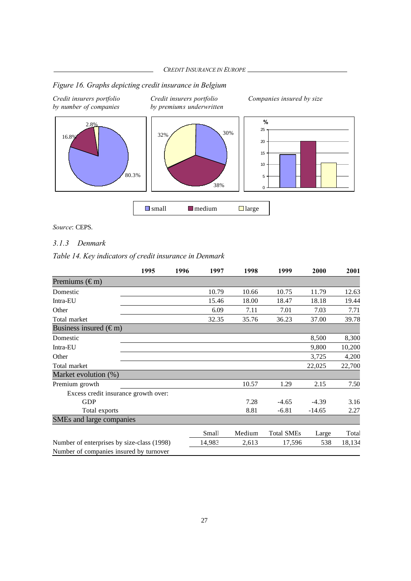$\Box$  small  $\Box$  medium  $\Box$  large

## *Figure 16. Graphs depicting credit insurance in Belgium*

*Credit insurers portfolio Credit insurers portfolio Companies insured by size*



*by number of companies by premiums underwritten*



*Source*: CEPS.

## *3.1.3 Denmark*

## *Table 14. Key indicators of credit insurance in Denmark*

|                                            | 1995 | 1996 | 1997   | 1998   | 1999              | 2000     | 2001   |
|--------------------------------------------|------|------|--------|--------|-------------------|----------|--------|
| Premiums $(\epsilon m)$                    |      |      |        |        |                   |          |        |
| Domestic                                   |      |      | 10.79  | 10.66  | 10.75             | 11.79    | 12.63  |
| Intra-EU                                   |      |      | 15.46  | 18.00  | 18.47             | 18.18    | 19.44  |
| Other                                      |      |      | 6.09   | 7.11   | 7.01              | 7.03     | 7.71   |
| Total market                               |      |      | 32.35  | 35.76  | 36.23             | 37.00    | 39.78  |
| Business insured $(\epsilon m)$            |      |      |        |        |                   |          |        |
| Domestic                                   |      |      |        |        |                   | 8,500    | 8,300  |
| Intra-EU                                   |      |      |        |        |                   | 9,800    | 10,200 |
| Other                                      |      |      |        |        |                   | 3,725    | 4,200  |
| Total market                               |      |      |        |        |                   | 22,025   | 22,700 |
| Market evolution (%)                       |      |      |        |        |                   |          |        |
| Premium growth                             |      |      |        | 10.57  | 1.29              | 2.15     | 7.50   |
| Excess credit insurance growth over:       |      |      |        |        |                   |          |        |
| <b>GDP</b>                                 |      |      |        | 7.28   | $-4.65$           | $-4.39$  | 3.16   |
| Total exports                              |      |      |        | 8.81   | $-6.81$           | $-14.65$ | 2.27   |
| SMEs and large companies                   |      |      |        |        |                   |          |        |
|                                            |      |      | Small  | Medium | <b>Total SMEs</b> | Large    | Total  |
| Number of enterprises by size-class (1998) |      |      | 14,983 | 2,613  | 17,596            | 538      | 18,134 |
| Number of companies insured by turnover    |      |      |        |        |                   |          |        |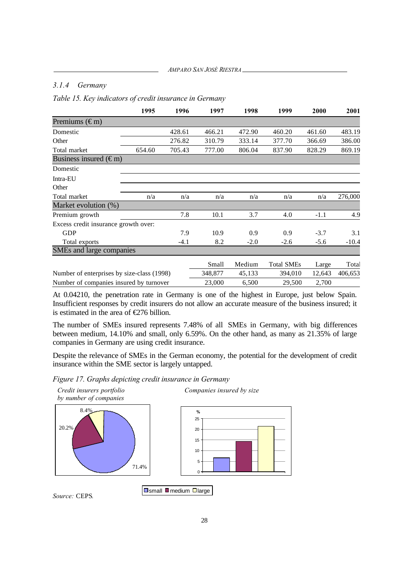## *3.1.4 Germany*

*Table 15. Key indicators of credit insurance in Germany*

|                                            | 1995   | 1996   | 1997    | 1998   | 1999              | 2000   | 2001    |
|--------------------------------------------|--------|--------|---------|--------|-------------------|--------|---------|
| Premiums $(\epsilon m)$                    |        |        |         |        |                   |        |         |
| Domestic                                   |        | 428.61 | 466.21  | 472.90 | 460.20            | 461.60 | 483.19  |
| Other                                      |        | 276.82 | 310.79  | 333.14 | 377.70            | 366.69 | 386.00  |
| Total market                               | 654.60 | 705.43 | 777.00  | 806.04 | 837.90            | 828.29 | 869.19  |
| Business insured $(\epsilon m)$            |        |        |         |        |                   |        |         |
| Domestic                                   |        |        |         |        |                   |        |         |
| Intra-EU                                   |        |        |         |        |                   |        |         |
| Other                                      |        |        |         |        |                   |        |         |
| Total market                               | n/a    | n/a    | n/a     | n/a    | n/a               | n/a    | 276,000 |
| Market evolution (%)                       |        |        |         |        |                   |        |         |
| Premium growth                             |        | 7.8    | 10.1    | 3.7    | 4.0               | $-1.1$ | 4.9     |
| Excess credit insurance growth over:       |        |        |         |        |                   |        |         |
| <b>GDP</b>                                 |        | 7.9    | 10.9    | 0.9    | 0.9               | $-3.7$ | 3.1     |
| Total exports                              |        | $-4.1$ | 8.2     | $-2.0$ | $-2.6$            | $-5.6$ | $-10.4$ |
| SMEs and large companies                   |        |        |         |        |                   |        |         |
|                                            |        |        | Small   | Medium | <b>Total SMEs</b> | Large  | Total   |
| Number of enterprises by size-class (1998) |        |        | 348,877 | 45,133 | 394,010           | 12,643 | 406,653 |
| Number of companies insured by turnover    |        |        | 23,000  | 6,500  | 29,500            | 2,700  |         |

At 0.04210, the penetration rate in Germany is one of the highest in Europe, just below Spain. Insufficient responses by credit insurers do not allow an accurate measure of the business insured; it is estimated in the area of  $E$ 76 billion.

The number of SMEs insured represents 7.48% of all SMEs in Germany, with big differences between medium, 14.10% and small, only 6.59%. On the other hand, as many as 21.35% of large companies in Germany are using credit insurance.

Despite the relevance of SMEs in the German economy, the potential for the development of credit insurance within the SME sector is largely untapped.

*Figure 17. Graphs depicting credit insurance in Germany*





*Source:* CEPS*.*

 $\Box$ small  $\Box$  medium  $\Box$  large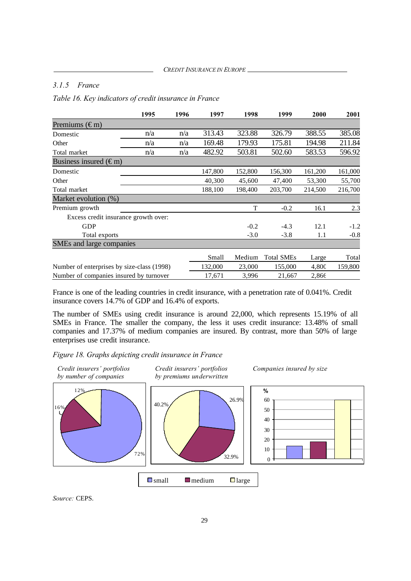#### *3.1.5 France*

*Table 16. Key indicators of credit insurance in France*

|                                            | 1995 | 1996 | 1997    | 1998    | 1999              | 2000    | 2001    |
|--------------------------------------------|------|------|---------|---------|-------------------|---------|---------|
| Premiums $(\epsilon m)$                    |      |      |         |         |                   |         |         |
| Domestic                                   | n/a  | n/a  | 313.43  | 323.88  | 326.79            | 388.55  | 385.08  |
| Other                                      | n/a  | n/a  | 169.48  | 179.93  | 175.81            | 194.98  | 211.84  |
| Total market                               | n/a  | n/a  | 482.92  | 503.81  | 502.60            | 583.53  | 596.92  |
| Business insured $(\epsilon m)$            |      |      |         |         |                   |         |         |
| Domestic                                   |      |      | 147,800 | 152,800 | 156,300           | 161,200 | 161,000 |
| Other                                      |      |      | 40,300  | 45,600  | 47,400            | 53,300  | 55,700  |
| Total market                               |      |      | 188,100 | 198,400 | 203,700           | 214,500 | 216,700 |
| Market evolution (%)                       |      |      |         |         |                   |         |         |
| Premium growth                             |      |      |         | T       | $-0.2$            | 16.1    | 2.3     |
| Excess credit insurance growth over:       |      |      |         |         |                   |         |         |
| <b>GDP</b>                                 |      |      |         | $-0.2$  | $-4.3$            | 12.1    | $-1.2$  |
| Total exports                              |      |      |         | $-3.0$  | $-3.8$            | 1.1     | $-0.8$  |
| SMEs and large companies                   |      |      |         |         |                   |         |         |
|                                            |      |      | Small   | Medium  | <b>Total SMEs</b> | Large   | Total   |
| Number of enterprises by size-class (1998) |      |      | 132,000 | 23,000  | 155,000           | 4,800   | 159,800 |
| Number of companies insured by turnover    |      |      | 17,671  | 3,996   | 21,667            | 2,866   |         |

France is one of the leading countries in credit insurance, with a penetration rate of 0.041%. Credit insurance covers 14.7% of GDP and 16.4% of exports.

The number of SMEs using credit insurance is around 22,000, which represents 15.19% of all SMEs in France. The smaller the company, the less it uses credit insurance: 13.48% of small companies and 17.37% of medium companies are insured. By contrast, more than 50% of large enterprises use credit insurance.

*Figure 18. Graphs depicting credit insurance in France*



*Source:* CEPS.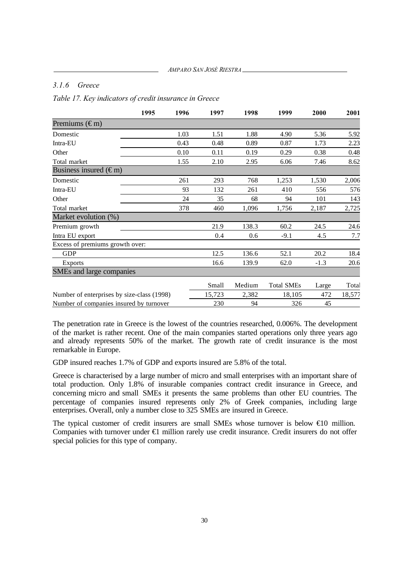#### *3.1.6 Greece*

*Table 17. Key indicators of credit insurance in Greece*

|                                            | 1995 | 1996 | 1997   | 1998   | 1999              | 2000   | 2001   |
|--------------------------------------------|------|------|--------|--------|-------------------|--------|--------|
| Premiums $(\epsilon m)$                    |      |      |        |        |                   |        |        |
| Domestic                                   |      | 1.03 | 1.51   | 1.88   | 4.90              | 5.36   | 5.92   |
| Intra-EU                                   |      | 0.43 | 0.48   | 0.89   | 0.87              | 1.73   | 2.23   |
| Other                                      |      | 0.10 | 0.11   | 0.19   | 0.29              | 0.38   | 0.48   |
| Total market                               |      | 1.55 | 2.10   | 2.95   | 6.06              | 7.46   | 8.62   |
| Business insured $(\epsilon m)$            |      |      |        |        |                   |        |        |
| Domestic                                   |      | 261  | 293    | 768    | 1,253             | 1,530  | 2,006  |
| Intra-EU                                   |      | 93   | 132    | 261    | 410               | 556    | 576    |
| Other                                      |      | 24   | 35     | 68     | 94                | 101    | 143    |
| Total market                               |      | 378  | 460    | 1,096  | 1,756             | 2,187  | 2,725  |
| Market evolution (%)                       |      |      |        |        |                   |        |        |
| Premium growth                             |      |      | 21.9   | 138.3  | 60.2              | 24.5   | 24.6   |
| Intra EU export                            |      |      | 0.4    | 0.6    | $-9.1$            | 4.5    | 7.7    |
| Excess of premiums growth over:            |      |      |        |        |                   |        |        |
| <b>GDP</b>                                 |      |      | 12.5   | 136.6  | 52.1              | 20.2   | 18.4   |
| <b>Exports</b>                             |      |      | 16.6   | 139.9  | 62.0              | $-1.3$ | 20.6   |
| SMEs and large companies                   |      |      |        |        |                   |        |        |
|                                            |      |      | Small  | Medium | <b>Total SMEs</b> | Large  | Total  |
| Number of enterprises by size-class (1998) |      |      | 15,723 | 2,382  | 18,105            | 472    | 18,577 |
| Number of companies insured by turnover    |      |      | 230    | 94     | 326               | 45     |        |

The penetration rate in Greece is the lowest of the countries researched, 0.006%. The development of the market is rather recent. One of the main companies started operations only three years ago and already represents 50% of the market. The growth rate of credit insurance is the most remarkable in Europe.

GDP insured reaches 1.7% of GDP and exports insured are 5.8% of the total.

Greece is characterised by a large number of micro and small enterprises with an important share of total production. Only 1.8% of insurable companies contract credit insurance in Greece, and concerning micro and small SMEs it presents the same problems than other EU countries. The percentage of companies insured represents only 2% of Greek companies, including large enterprises. Overall, only a number close to 325 SMEs are insured in Greece.

The typical customer of credit insurers are small SMEs whose turnover is below €10 million. Companies with turnover under €1 million rarely use credit insurance. Credit insurers do not offer special policies for this type of company.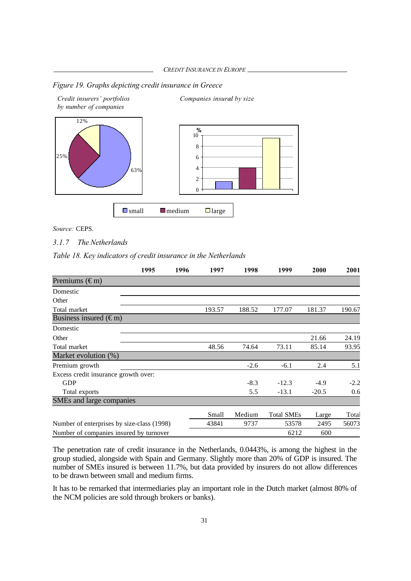*CREDIT INSURANCE IN EUROPE*

*Figure 19. Graphs depicting credit insurance in Greece*



*Source:* CEPS.

#### *3.1.7 The Netherlands*

*Table 18. Key indicators of credit insurance in the Netherlands*

|                                            | 1995 | 1996 | 1997   | 1998   | 1999              | 2000    | 2001   |
|--------------------------------------------|------|------|--------|--------|-------------------|---------|--------|
| Premiums $(\epsilon m)$                    |      |      |        |        |                   |         |        |
| Domestic                                   |      |      |        |        |                   |         |        |
| Other                                      |      |      |        |        |                   |         |        |
| Total market                               |      |      | 193.57 | 188.52 | 177.07            | 181.37  | 190.67 |
| Business insured $(\epsilon m)$            |      |      |        |        |                   |         |        |
| Domestic                                   |      |      |        |        |                   |         |        |
| Other                                      |      |      |        |        |                   | 21.66   | 24.19  |
| Total market                               |      |      | 48.56  | 74.64  | 73.11             | 85.14   | 93.95  |
| Market evolution (%)                       |      |      |        |        |                   |         |        |
| Premium growth                             |      |      |        | $-2.6$ | $-6.1$            | 2.4     | 5.1    |
| Excess credit insurance growth over:       |      |      |        |        |                   |         |        |
| <b>GDP</b>                                 |      |      |        | $-8.3$ | $-12.3$           | $-4.9$  | $-2.2$ |
| Total exports                              |      |      |        | 5.5    | $-13.1$           | $-20.5$ | 0.6    |
| SMEs and large companies                   |      |      |        |        |                   |         |        |
|                                            |      |      | Small  | Medium | <b>Total SMEs</b> | Large   | Total  |
| Number of enterprises by size-class (1998) |      |      | 43841  | 9737   | 53578             | 2495    | 56073  |
| Number of companies insured by turnover    |      |      |        |        | 6212              | 600     |        |

The penetration rate of credit insurance in the Netherlands, 0.0443%, is among the highest in the group studied, alongside with Spain and Germany. Slightly more than 20% of GDP is insured. The number of SMEs insured is between 11.7%, but data provided by insurers do not allow differences to be drawn between small and medium firms.

It has to be remarked that intermediaries play an important role in the Dutch market (almost 80% of the NCM policies are sold through brokers or banks).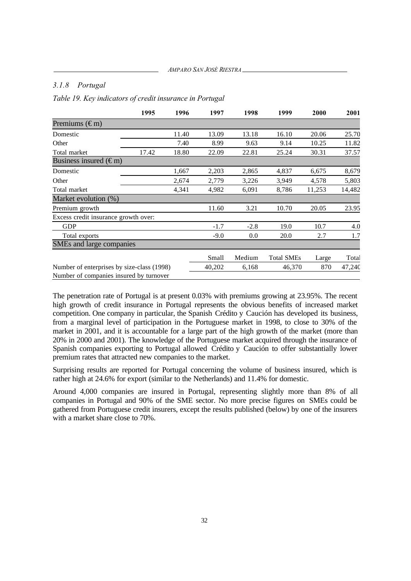#### *3.1.8 Portugal*

*Table 19. Key indicators of credit insurance in Portugal*

|                                            | 1995  | 1996  | 1997   | 1998   | 1999              | 2000   | 2001   |
|--------------------------------------------|-------|-------|--------|--------|-------------------|--------|--------|
| Premiums $(\epsilon m)$                    |       |       |        |        |                   |        |        |
| Domestic                                   |       | 11.40 | 13.09  | 13.18  | 16.10             | 20.06  | 25.70  |
| Other                                      |       | 7.40  | 8.99   | 9.63   | 9.14              | 10.25  | 11.82  |
| Total market                               | 17.42 | 18.80 | 22.09  | 22.81  | 25.24             | 30.31  | 37.57  |
| Business insured $(\epsilon m)$            |       |       |        |        |                   |        |        |
| Domestic                                   |       | 1,667 | 2,203  | 2,865  | 4,837             | 6,675  | 8,679  |
| Other                                      |       | 2,674 | 2,779  | 3,226  | 3,949             | 4,578  | 5,803  |
| Total market                               |       | 4,341 | 4,982  | 6,091  | 8,786             | 11,253 | 14,482 |
| Market evolution (%)                       |       |       |        |        |                   |        |        |
| Premium growth                             |       |       | 11.60  | 3.21   | 10.70             | 20.05  | 23.95  |
| Excess credit insurance growth over:       |       |       |        |        |                   |        |        |
| <b>GDP</b>                                 |       |       | $-1.7$ | $-2.8$ | 19.0              | 10.7   | 4.0    |
| Total exports                              |       |       | $-9.0$ | 0.0    | 20.0              | 2.7    | 1.7    |
| SMEs and large companies                   |       |       |        |        |                   |        |        |
|                                            |       |       | Small  | Medium | <b>Total SMEs</b> | Large  | Total  |
| Number of enterprises by size-class (1998) |       |       | 40,202 | 6,168  | 46,370            | 870    | 47,240 |
| Number of companies insured by turnover    |       |       |        |        |                   |        |        |

The penetration rate of Portugal is at present 0.03% with premiums growing at 23.95%. The recent high growth of credit insurance in Portugal represents the obvious benefits of increased market competition. One company in particular, the Spanish Crédito y Caución has developed its business, from a marginal level of participation in the Portuguese market in 1998, to close to 30% of the market in 2001, and it is accountable for a large part of the high growth of the market (more than 20% in 2000 and 2001). The knowledge of the Portuguese market acquired through the insurance of Spanish companies exporting to Portugal allowed Crédito y Caución to offer substantially lower premium rates that attracted new companies to the market.

Surprising results are reported for Portugal concerning the volume of business insured, which is rather high at 24.6% for export (similar to the Netherlands) and 11.4% for domestic.

Around 4,000 companies are insured in Portugal, representing slightly more than 8% of all companies in Portugal and 90% of the SME sector. No more precise figures on SMEs could be gathered from Portuguese credit insurers, except the results published (below) by one of the insurers with a market share close to 70%.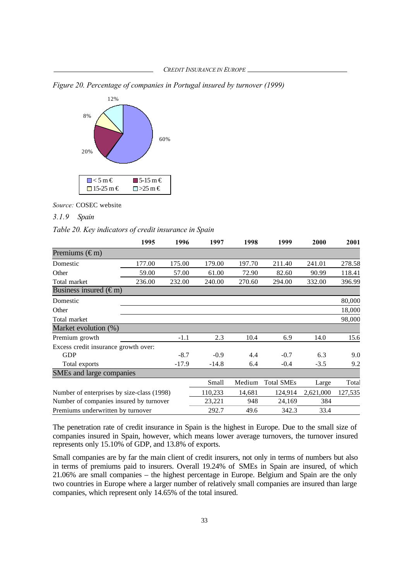*Figure 20. Percentage of companies in Portugal insured by turnover (1999)*



*Source:* COSEC website*.*

### *3.1.9 Spain*

*Table 20. Key indicators of credit insurance in Spain*

|                                            | 1995   | 1996    | 1997    | 1998   | 1999              | 2000      | 2001    |
|--------------------------------------------|--------|---------|---------|--------|-------------------|-----------|---------|
| Premiums $(\epsilon m)$                    |        |         |         |        |                   |           |         |
| Domestic                                   | 177.00 | 175.00  | 179.00  | 197.70 | 211.40            | 241.01    | 278.58  |
| Other                                      | 59.00  | 57.00   | 61.00   | 72.90  | 82.60             | 90.99     | 118.41  |
| Total market                               | 236.00 | 232.00  | 240.00  | 270.60 | 294.00            | 332.00    | 396.99  |
| Business insured $(\epsilon m)$            |        |         |         |        |                   |           |         |
| Domestic                                   |        |         |         |        |                   |           | 80,000  |
| Other                                      |        |         |         |        |                   |           | 18,000  |
| Total market                               |        |         |         |        |                   |           | 98,000  |
| Market evolution (%)                       |        |         |         |        |                   |           |         |
| Premium growth                             |        | $-1.1$  | 2.3     | 10.4   | 6.9               | 14.0      | 15.6    |
| Excess credit insurance growth over:       |        |         |         |        |                   |           |         |
| <b>GDP</b>                                 |        | $-8.7$  | $-0.9$  | 4.4    | $-0.7$            | 6.3       | 9.0     |
| Total exports                              |        | $-17.9$ | $-14.8$ | 6.4    | $-0.4$            | $-3.5$    | 9.2     |
| SMEs and large companies                   |        |         |         |        |                   |           |         |
|                                            |        |         | Small   | Medium | <b>Total SMEs</b> | Large     | Total   |
| Number of enterprises by size-class (1998) |        |         | 110,233 | 14,681 | 124,914           | 2,621,000 | 127,535 |
| Number of companies insured by turnover    |        |         | 23,221  | 948    | 24,169            | 384       |         |
| Premiums underwritten by turnover          |        |         | 292.7   | 49.6   | 342.3             | 33.4      |         |

The penetration rate of credit insurance in Spain is the highest in Europe. Due to the small size of companies insured in Spain, however, which means lower average turnovers, the turnover insured represents only 15.10% of GDP, and 13.8% of exports.

Small companies are by far the main client of credit insurers, not only in terms of numbers but also in terms of premiums paid to insurers. Overall 19.24% of SMEs in Spain are insured, of which 21.06% are small companies – the highest percentage in Europe. Belgium and Spain are the only two countries in Europe where a larger number of relatively small companies are insured than large companies, which represent only 14.65% of the total insured.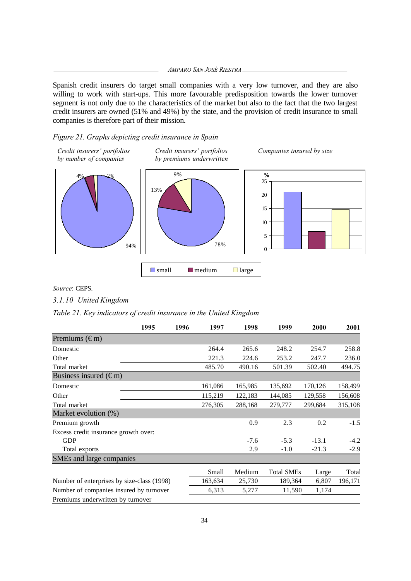*AMPARO SAN JOSÉ RIESTRA*

Spanish credit insurers do target small companies with a very low turnover, and they are also willing to work with start-ups. This more favourable predisposition towards the lower turnover segment is not only due to the characteristics of the market but also to the fact that the two largest credit insurers are owned (51% and 49%) by the state, and the provision of credit insurance to small companies is therefore part of their mission.

### *Figure 21. Graphs depicting credit insurance in Spain*



*Source*: CEPS.

*3.1.10 United Kingdom*

*Table 21. Key indicators of credit insurance in the United Kingdom*

|                                            | 1995 | 1996 | 1997    | 1998    | 1999              | 2000    | 2001    |
|--------------------------------------------|------|------|---------|---------|-------------------|---------|---------|
| Premiums $(\epsilon m)$                    |      |      |         |         |                   |         |         |
| Domestic                                   |      |      | 264.4   | 265.6   | 248.2             | 254.7   | 258.8   |
| Other                                      |      |      | 221.3   | 224.6   | 253.2             | 247.7   | 236.0   |
| Total market                               |      |      | 485.70  | 490.16  | 501.39            | 502.40  | 494.75  |
| Business insured $(\epsilon m)$            |      |      |         |         |                   |         |         |
| Domestic                                   |      |      | 161,086 | 165,985 | 135,692           | 170,126 | 158,499 |
| Other                                      |      |      | 115,219 | 122,183 | 144,085           | 129,558 | 156,608 |
| Total market                               |      |      | 276,305 | 288,168 | 279,777           | 299,684 | 315,108 |
| Market evolution (%)                       |      |      |         |         |                   |         |         |
| Premium growth                             |      |      |         | 0.9     | 2.3               | 0.2     | $-1.5$  |
| Excess credit insurance growth over:       |      |      |         |         |                   |         |         |
| <b>GDP</b>                                 |      |      |         | $-7.6$  | $-5.3$            | $-13.1$ | $-4.2$  |
| Total exports                              |      |      |         | 2.9     | $-1.0$            | $-21.3$ | $-2.9$  |
| SMEs and large companies                   |      |      |         |         |                   |         |         |
|                                            |      |      | Small   | Medium  | <b>Total SMEs</b> | Large   | Total   |
| Number of enterprises by size-class (1998) |      |      | 163,634 | 25,730  | 189,364           | 6,807   | 196,171 |
| Number of companies insured by turnover    |      |      | 6,313   | 5,277   | 11,590            | 1,174   |         |
| Premiums underwritten by turnover          |      |      |         |         |                   |         |         |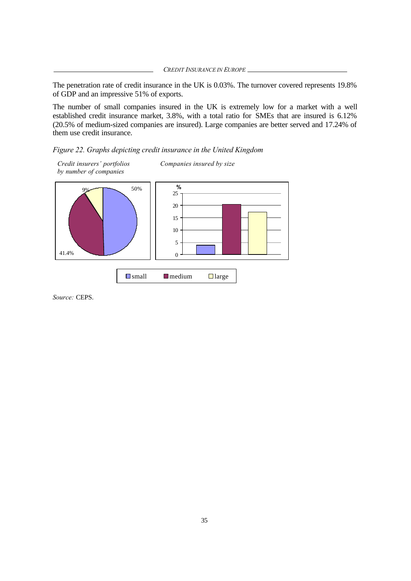*CREDIT INSURANCE IN EUROPE*

The penetration rate of credit insurance in the UK is 0.03%. The turnover covered represents 19.8% of GDP and an impressive 51% of exports.

The number of small companies insured in the UK is extremely low for a market with a well established credit insurance market, 3.8%, with a total ratio for SMEs that are insured is 6.12% (20.5% of medium-sized companies are insured). Large companies are better served and 17.24% of them use credit insurance.

*Figure 22. Graphs depicting credit insurance in the United Kingdom*



*Source:* CEPS.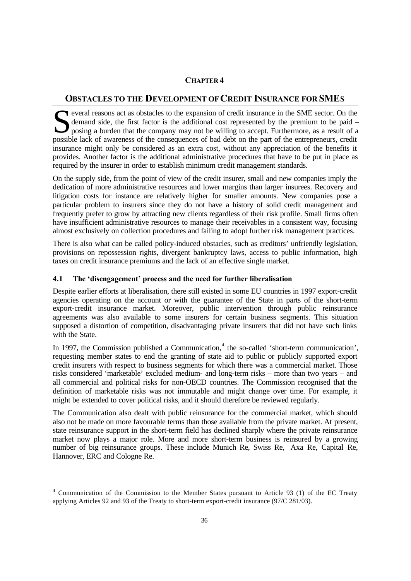## **CHAPTER 4**

#### **OBSTACLES TO THE DEVELOPMENT OF CREDIT INSURANCE FOR SMES**

everal reasons act as obstacles to the expansion of credit insurance in the SME sector. On the demand side, the first factor is the additional cost represented by the premium to be paid – posing a burden that the company may not be willing to accept. Furthermore, as a result of a Several reasons act as obstacles to the expansion of credit insurance in the SME sector. On the demand side, the first factor is the additional cost represented by the premium to be paid - posing a burden that the company insurance might only be considered as an extra cost, without any appreciation of the benefits it provides. Another factor is the additional administrative procedures that have to be put in place as required by the insurer in order to establish minimum credit management standards.

On the supply side, from the point of view of the credit insurer, small and new companies imply the dedication of more administrative resources and lower margins than larger insurees. Recovery and litigation costs for instance are relatively higher for smaller amounts. New companies pose a particular problem to insurers since they do not have a history of solid credit management and frequently prefer to grow by attracting new clients regardless of their risk profile. Small firms often have insufficient administrative resources to manage their receivables in a consistent way, focusing almost exclusively on collection procedures and failing to adopt further risk management practices.

There is also what can be called policy-induced obstacles, such as creditors' unfriendly legislation, provisions on repossession rights, divergent bankruptcy laws, access to public information, high taxes on credit insurance premiums and the lack of an effective single market.

#### **4.1 The 'disengagement' process and the need for further liberalisation**

Despite earlier efforts at liberalisation, there still existed in some EU countries in 1997 export-credit agencies operating on the account or with the guarantee of the State in parts of the short-term export-credit insurance market. Moreover, public intervention through public reinsurance agreements was also available to some insurers for certain business segments. This situation supposed a distortion of competition, disadvantaging private insurers that did not have such links with the State.

In 1997, the Commission published a Communication,<sup>4</sup> the so-called 'short-term communication', requesting member states to end the granting of state aid to public or publicly supported export credit insurers with respect to business segments for which there was a commercial market. Those risks considered 'marketable' excluded medium- and long-term risks – more than two years – and all commercial and political risks for non-OECD countries. The Commission recognised that the definition of marketable risks was not immutable and might change over time. For example, it might be extended to cover political risks, and it should therefore be reviewed regularly.

The Communication also dealt with public reinsurance for the commercial market, which should also not be made on more favourable terms than those available from the private market. At present, state reinsurance support in the short-term field has declined sharply where the private reinsurance market now plays a major role. More and more short-term business is reinsured by a growing number of big reinsurance groups. These include Munich Re, Swiss Re, Axa Re, Capital Re, Hannover, ERC and Cologne Re.

 4 Communication of the Commission to the Member States pursuant to Article 93 (1) of the EC Treaty applying Articles 92 and 93 of the Treaty to short-term export-credit insurance (97/C 281/03).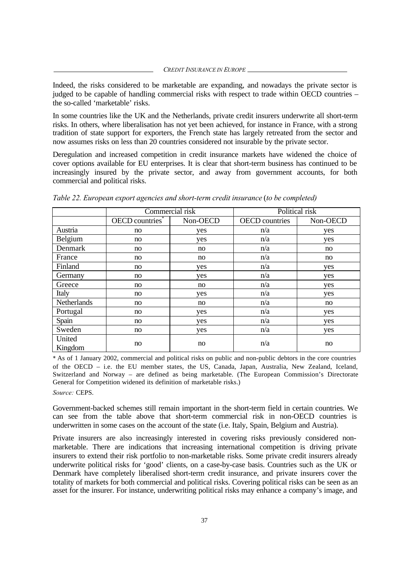Indeed, the risks considered to be marketable are expanding, and nowadays the private sector is judged to be capable of handling commercial risks with respect to trade within OECD countries – the so-called 'marketable' risks.

In some countries like the UK and the Netherlands, private credit insurers underwrite all short-term risks. In others, where liberalisation has not yet been achieved, for instance in France, with a strong tradition of state support for exporters, the French state has largely retreated from the sector and now assumes risks on less than 20 countries considered not insurable by the private sector.

Deregulation and increased competition in credit insurance markets have widened the choice of cover options available for EU enterprises. It is clear that short-term business has continued to be increasingly insured by the private sector, and away from government accounts, for both commercial and political risks.

|                   |                             | Commercial risk | Political risk        |          |
|-------------------|-----------------------------|-----------------|-----------------------|----------|
|                   | OECD countries <sup>*</sup> | Non-OECD        | <b>OECD</b> countries | Non-OECD |
| Austria           | no                          | yes             | n/a                   | yes      |
| Belgium           | no                          | yes             | n/a                   | yes      |
| Denmark           | no                          | no              | n/a                   | no       |
| France            | no                          | no              | n/a                   | no       |
| Finland           | no                          | yes             | n/a                   | yes      |
| Germany           | no                          | yes             | n/a                   | yes      |
| Greece            | no                          | no              | n/a                   | yes      |
| Italy             | no                          | yes             | n/a                   | yes      |
| Netherlands       | no                          | no              | n/a                   | no       |
| Portugal          | no                          | yes             | n/a                   | yes      |
| Spain             | no                          | yes             | n/a                   | yes      |
| Sweden            | no                          | yes             | n/a                   | yes      |
| United<br>Kingdom | no                          | no              | n/a                   | no       |

*Table 22. European export agencies and short-term credit insurance* (*to be completed)*

\* As of 1 January 2002, commercial and political risks on public and non-public debtors in the core countries of the OECD – i.e. the EU member states, the US, Canada, Japan, Australia, New Zealand, Iceland, Switzerland and Norway – are defined as being marketable. (The European Commission's Directorate General for Competition widened its definition of marketable risks.)

*Source:* CEPS.

Government-backed schemes still remain important in the short-term field in certain countries. We can see from the table above that short-term commercial risk in non-OECD countries is underwritten in some cases on the account of the state (i.e. Italy, Spain, Belgium and Austria).

Private insurers are also increasingly interested in covering risks previously considered nonmarketable. There are indications that increasing international competition is driving private insurers to extend their risk portfolio to non-marketable risks. Some private credit insurers already underwrite political risks for 'good' clients, on a case-by-case basis. Countries such as the UK or Denmark have completely liberalised short-term credit insurance, and private insurers cover the totality of markets for both commercial and political risks. Covering political risks can be seen as an asset for the insurer. For instance, underwriting political risks may enhance a company's image, and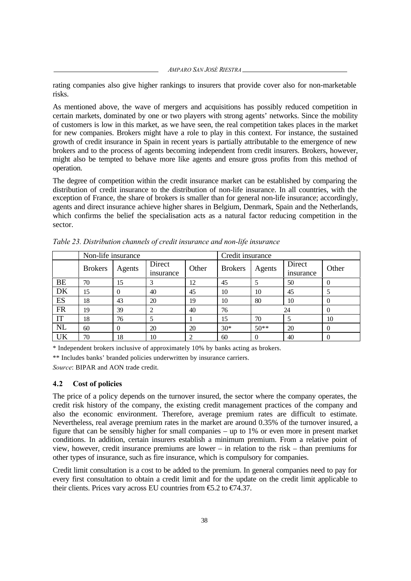rating companies also give higher rankings to insurers that provide cover also for non-marketable risks.

As mentioned above, the wave of mergers and acquisitions has possibly reduced competition in certain markets, dominated by one or two players with strong agents' networks. Since the mobility of customers is low in this market, as we have seen, the real competition takes places in the market for new companies. Brokers might have a role to play in this context. For instance, the sustained growth of credit insurance in Spain in recent years is partially attributable to the emergence of new brokers and to the process of agents becoming independent from credit insurers. Brokers, however, might also be tempted to behave more like agents and ensure gross profits from this method of operation.

The degree of competition within the credit insurance market can be established by comparing the distribution of credit insurance to the distribution of non-life insurance. In all countries, with the exception of France, the share of brokers is smaller than for general non-life insurance; accordingly, agents and direct insurance achieve higher shares in Belgium, Denmark, Spain and the Netherlands, which confirms the belief the specialisation acts as a natural factor reducing competition in the sector.

|           | Non-life insurance |          |                     |       | Credit insurance |          |                     |       |
|-----------|--------------------|----------|---------------------|-------|------------------|----------|---------------------|-------|
|           | <b>Brokers</b>     | Agents   | Direct<br>insurance | Other | <b>Brokers</b>   | Agents   | Direct<br>insurance | Other |
| <b>BE</b> | 70                 | 15       | 3                   | 12    | 45               |          | 50                  | 0     |
| DK        | 15                 | $\Omega$ | 40                  | 45    | 10               | 10       | 45                  |       |
| ES        | 18                 | 43       | 20                  | 19    | 10               | 80       | 10                  | 0     |
| <b>FR</b> | 19                 | 39       | 2                   | 40    | 76               |          | 24                  | 0     |
| IT        | 18                 | 76       | 5                   |       | 15               | 70       | 5                   | 10    |
| <b>NL</b> | 60                 | $\theta$ | 20                  | 20    | $30*$            | $50**$   | 20                  | 0     |
| UK        | 70                 | 18       | 10                  | 2     | 60               | $\theta$ | 40                  | 0     |

*Table 23. Distribution channels of credit insurance and non-life insurance*

\* Independent brokers inclusive of approximately 10% by banks acting as brokers.

\*\* Includes banks' branded policies underwritten by insurance carriers.

*Source*: BIPAR and AON trade credit.

#### **4.2 Cost of policies**

The price of a policy depends on the turnover insured, the sector where the company operates, the credit risk history of the company, the existing credit management practices of the company and also the economic environment. Therefore, average premium rates are difficult to estimate. Nevertheless, real average premium rates in the market are around 0.35% of the turnover insured, a figure that can be sensibly higher for small companies – up to 1% or even more in present market conditions. In addition, certain insurers establish a minimum premium. From a relative point of view, however, credit insurance premiums are lower – in relation to the risk – than premiums for other types of insurance, such as fire insurance, which is compulsory for companies.

Credit limit consultation is a cost to be added to the premium. In general companies need to pay for every first consultation to obtain a credit limit and for the update on the credit limit applicable to their clients. Prices vary across EU countries from  $\epsilon$ 5.2 to  $\epsilon$ 74.37.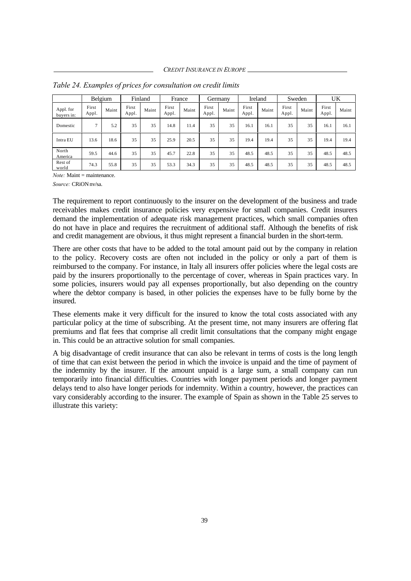|                         |                | Belgium |                | Finland |                | France |                | Germany |                | Ireland |                | Sweden |                | UK    |
|-------------------------|----------------|---------|----------------|---------|----------------|--------|----------------|---------|----------------|---------|----------------|--------|----------------|-------|
| Appl. for<br>buyers in: | First<br>Appl. | Maint   | First<br>Appl. | Maint   | First<br>Appl. | Maint  | First<br>Appl. | Maint   | First<br>Appl. | Maint   | First<br>Appl. | Maint  | First<br>Appl. | Maint |
| Domestic                | $\mathcal{I}$  | 5.2     | 35             | 35      | 14.8           | 11.4   | 35             | 35      | 16.1           | 16.1    | 35             | 35     | 16.1           | 16.1  |
| Intra EU                | 13.6           | 18.6    | 35             | 35      | 25.9           | 20.5   | 35             | 35      | 19.4           | 19.4    | 35             | 35     | 19.4           | 19.4  |
| North<br>America        | 59.5           | 44.6    | 35             | 35      | 45.7           | 22.8   | 35             | 35      | 48.5           | 48.5    | 35             | 35     | 48.5           | 48.5  |
| Rest of<br>world        | 74.3           | 55.8    | 35             | 35      | 53.3           | 34.3   | 35             | 35      | 48.5           | 48.5    | 35             | 35     | 48.5           | 48.5  |

*Table 24. Examples of prices for consultation on credit limits*

*Note:* Maint = maintenance.

*Source:* CRiON nv/sa.

The requirement to report continuously to the insurer on the development of the business and trade receivables makes credit insurance policies very expensive for small companies. Credit insurers demand the implementation of adequate risk management practices, which small companies often do not have in place and requires the recruitment of additional staff. Although the benefits of risk and credit management are obvious, it thus might represent a financial burden in the short-term.

There are other costs that have to be added to the total amount paid out by the company in relation to the policy. Recovery costs are often not included in the policy or only a part of them is reimbursed to the company. For instance, in Italy all insurers offer policies where the legal costs are paid by the insurers proportionally to the percentage of cover, whereas in Spain practices vary. In some policies, insurers would pay all expenses proportionally, but also depending on the country where the debtor company is based, in other policies the expenses have to be fully borne by the insured.

These elements make it very difficult for the insured to know the total costs associated with any particular policy at the time of subscribing. At the present time, not many insurers are offering flat premiums and flat fees that comprise all credit limit consultations that the company might engage in. This could be an attractive solution for small companies.

A big disadvantage of credit insurance that can also be relevant in terms of costs is the long length of time that can exist between the period in which the invoice is unpaid and the time of payment of the indemnity by the insurer. If the amount unpaid is a large sum, a small company can run temporarily into financial difficulties. Countries with longer payment periods and longer payment delays tend to also have longer periods for indemnity. Within a country, however, the practices can vary considerably according to the insurer. The example of Spain as shown in the Table 25 serves to illustrate this variety: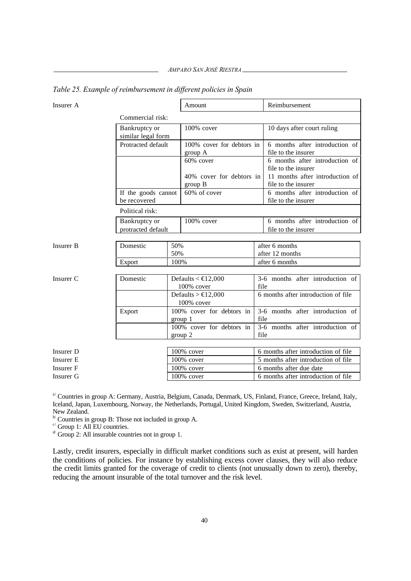*AMPARO SAN JOSÉ RIESTRA*

| Insurer A        |                                     |            | Amount                                                |      | Reimbursement                                          |
|------------------|-------------------------------------|------------|-------------------------------------------------------|------|--------------------------------------------------------|
|                  | Commercial risk:                    |            |                                                       |      |                                                        |
|                  | Bankruptcy or<br>similar legal form |            | $100\%$ cover                                         |      | 10 days after court ruling                             |
|                  | Protracted default                  |            | 100% cover for debtors in<br>group A                  |      | 6 months after introduction of<br>file to the insurer  |
|                  |                                     |            | 60% cover                                             |      | 6 months after introduction of<br>file to the insurer  |
|                  |                                     |            | 40% cover for debtors in<br>group B                   |      | 11 months after introduction of<br>file to the insurer |
|                  | If the goods cannot<br>be recovered |            | 60% of cover                                          |      | 6 months after introduction of<br>file to the insurer  |
|                  | Political risk:                     |            |                                                       |      |                                                        |
|                  | Bankruptcy or<br>protracted default |            | 100% cover                                            |      | 6 months after introduction of<br>file to the insurer  |
|                  |                                     |            |                                                       |      |                                                        |
| <b>Insurer B</b> | Domestic                            | 50%<br>50% |                                                       |      | after 6 months<br>after 12 months                      |
|                  | Export                              | 100%       |                                                       |      | after 6 months                                         |
| Insurer C        | Domestic                            |            | Defaults < $\in$ 12,000<br>100% cover                 | file | 3-6 months after introduction of                       |
|                  |                                     |            | Defaults $> \text{\textsterling}12,000$<br>100% cover |      | 6 months after introduction of file                    |
|                  | Export                              |            | 100% cover for debtors in<br>group 1                  | file | 3-6 months after introduction of                       |
|                  |                                     |            | 100% cover for debtors in<br>group 2                  | file | 3-6 months after introduction of                       |
|                  |                                     |            |                                                       |      |                                                        |
| Insurer D        |                                     |            | 100% cover                                            |      | 6 months after introduction of file                    |
| Insurer E        |                                     |            | 100% cover                                            |      | 5 months after introduction of file                    |
| Insurer F        |                                     |            | 100% cover                                            |      | 6 months after due date                                |
| Insurer G        |                                     |            | $100\%$ cover                                         |      | 6 months after introduction of file                    |

*Table 25. Example of reimbursement in different policies in Spain*

<sup>a/</sup> Countries in group A: Germany, Austria, Belgium, Canada, Denmark, US, Finland, France, Greece, Ireland, Italy, Iceland, Japan, Luxembourg, Norway, the Netherlands, Portugal, United Kingdom, Sweden, Switzerland, Austria, New Zealand.

 $\mathbb{P}^1$  Countries in group B: Those not included in group A.

 $\sim$  Group 1: All EU countries.

 $\alpha$ <sup>d</sup> Group 2: All insurable countries not in group 1.

Lastly, credit insurers, especially in difficult market conditions such as exist at present, will harden the conditions of policies. For instance by establishing excess cover clauses, they will also reduce the credit limits granted for the coverage of credit to clients (not unusually down to zero), thereby, reducing the amount insurable of the total turnover and the risk level.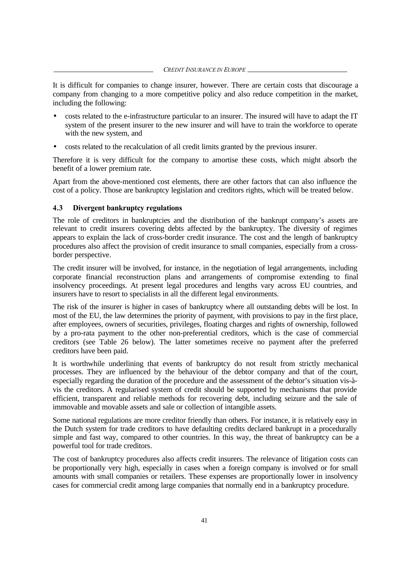#### *CREDIT INSURANCE IN EUROPE*

It is difficult for companies to change insurer, however. There are certain costs that discourage a company from changing to a more competitive policy and also reduce competition in the market, including the following:

- costs related to the e-infrastructure particular to an insurer. The insured will have to adapt the IT system of the present insurer to the new insurer and will have to train the workforce to operate with the new system, and
- costs related to the recalculation of all credit limits granted by the previous insurer.

Therefore it is very difficult for the company to amortise these costs, which might absorb the benefit of a lower premium rate.

Apart from the above-mentioned cost elements, there are other factors that can also influence the cost of a policy. Those are bankruptcy legislation and creditors rights, which will be treated below.

#### **4.3 Divergent bankruptcy regulations**

The role of creditors in bankruptcies and the distribution of the bankrupt company's assets are relevant to credit insurers covering debts affected by the bankruptcy. The diversity of regimes appears to explain the lack of cross-border credit insurance. The cost and the length of bankruptcy procedures also affect the provision of credit insurance to small companies, especially from a crossborder perspective.

The credit insurer will be involved, for instance, in the negotiation of legal arrangements, including corporate financial reconstruction plans and arrangements of compromise extending to final insolvency proceedings. At present legal procedures and lengths vary across EU countries, and insurers have to resort to specialists in all the different legal environments.

The risk of the insurer is higher in cases of bankruptcy where all outstanding debts will be lost. In most of the EU, the law determines the priority of payment, with provisions to pay in the first place, after employees, owners of securities, privileges, floating charges and rights of ownership, followed by a pro-rata payment to the other non-preferential creditors, which is the case of commercial creditors (see Table 26 below). The latter sometimes receive no payment after the preferred creditors have been paid.

It is worthwhile underlining that events of bankruptcy do not result from strictly mechanical processes. They are influenced by the behaviour of the debtor company and that of the court, especially regarding the duration of the procedure and the assessment of the debtor's situation vis-àvis the creditors. A regularised system of credit should be supported by mechanisms that provide efficient, transparent and reliable methods for recovering debt, including seizure and the sale of immovable and movable assets and sale or collection of intangible assets.

Some national regulations are more creditor friendly than others. For instance, it is relatively easy in the Dutch system for trade creditors to have defaulting credits declared bankrupt in a procedurally simple and fast way, compared to other countries. In this way, the threat of bankruptcy can be a powerful tool for trade creditors.

The cost of bankruptcy procedures also affects credit insurers. The relevance of litigation costs can be proportionally very high, especially in cases when a foreign company is involved or for small amounts with small companies or retailers. These expenses are proportionally lower in insolvency cases for commercial credit among large companies that normally end in a bankruptcy procedure.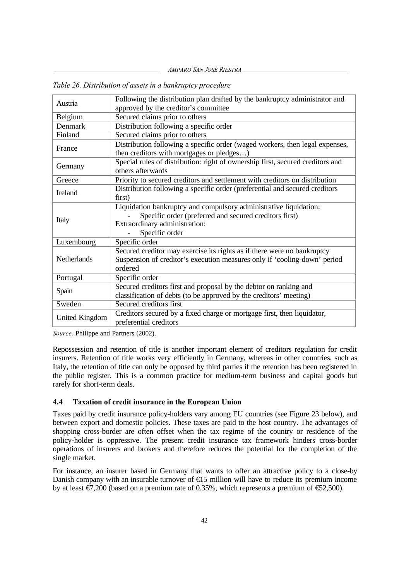*AMPARO SAN JOSÉ RIESTRA*

| Austria        | Following the distribution plan drafted by the bankruptcy administrator and<br>approved by the creditor's committee |
|----------------|---------------------------------------------------------------------------------------------------------------------|
| Belgium        | Secured claims prior to others                                                                                      |
| Denmark        | Distribution following a specific order                                                                             |
| Finland        | Secured claims prior to others                                                                                      |
| France         | Distribution following a specific order (waged workers, then legal expenses,                                        |
|                | then creditors with mortgages or pledges)                                                                           |
| Germany        | Special rules of distribution: right of ownership first, secured creditors and<br>others afterwards                 |
| Greece         | Priority to secured creditors and settlement with creditors on distribution                                         |
| Ireland        | Distribution following a specific order (preferential and secured creditors                                         |
|                | first)                                                                                                              |
|                | Liquidation bankruptcy and compulsory administrative liquidation:                                                   |
| Italy          | Specific order (preferred and secured creditors first)                                                              |
|                | Extraordinary administration:                                                                                       |
|                | Specific order                                                                                                      |
| Luxembourg     | Specific order                                                                                                      |
|                | Secured creditor may exercise its rights as if there were no bankruptcy                                             |
| Netherlands    | Suspension of creditor's execution measures only if 'cooling-down' period                                           |
|                | ordered                                                                                                             |
| Portugal       | Specific order                                                                                                      |
| Spain          | Secured creditors first and proposal by the debtor on ranking and                                                   |
|                | classification of debts (to be approved by the creditors' meeting)                                                  |
| Sweden         | Secured creditors first                                                                                             |
| United Kingdom | Creditors secured by a fixed charge or mortgage first, then liquidator,                                             |
|                | preferential creditors                                                                                              |

|  |  |  | Table 26. Distribution of assets in a bankruptcy procedure |  |
|--|--|--|------------------------------------------------------------|--|
|--|--|--|------------------------------------------------------------|--|

*Source:* Philippe and Partners (2002).

Repossession and retention of title is another important element of creditors regulation for credit insurers. Retention of title works very efficiently in Germany, whereas in other countries, such as Italy, the retention of title can only be opposed by third parties if the retention has been registered in the public register. This is a common practice for medium-term business and capital goods but rarely for short-term deals.

#### **4.4 Taxation of credit insurance in the European Union**

Taxes paid by credit insurance policy-holders vary among EU countries (see Figure 23 below), and between export and domestic policies. These taxes are paid to the host country. The advantages of shopping cross-border are often offset when the tax regime of the country or residence of the policy-holder is oppressive. The present credit insurance tax framework hinders cross-border operations of insurers and brokers and therefore reduces the potential for the completion of the single market.

For instance, an insurer based in Germany that wants to offer an attractive policy to a close-by Danish company with an insurable turnover of  $\epsilon$ 15 million will have to reduce its premium income by at least  $\mathcal{F}$ ,200 (based on a premium rate of 0.35%, which represents a premium of  $\mathfrak{S}$ 2,500).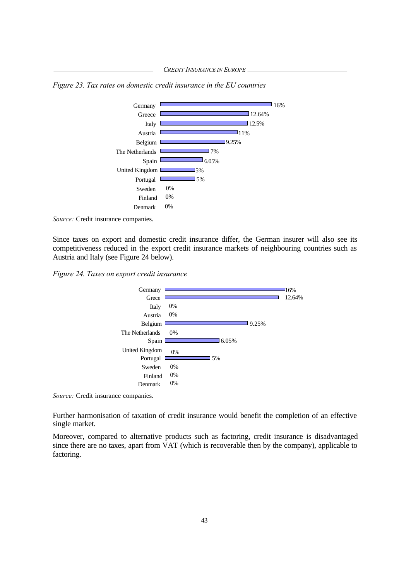*Figure 23. Tax rates on domestic credit insurance in the EU countries*



*Source:* Credit insurance companies.

Since taxes on export and domestic credit insurance differ, the German insurer will also see its competitiveness reduced in the export credit insurance markets of neighbouring countries such as Austria and Italy (see Figure 24 below).

*Figure 24. Taxes on export credit insurance*



*Source:* Credit insurance companies.

Further harmonisation of taxation of credit insurance would benefit the completion of an effective single market.

Moreover, compared to alternative products such as factoring, credit insurance is disadvantaged since there are no taxes, apart from VAT (which is recoverable then by the company), applicable to factoring.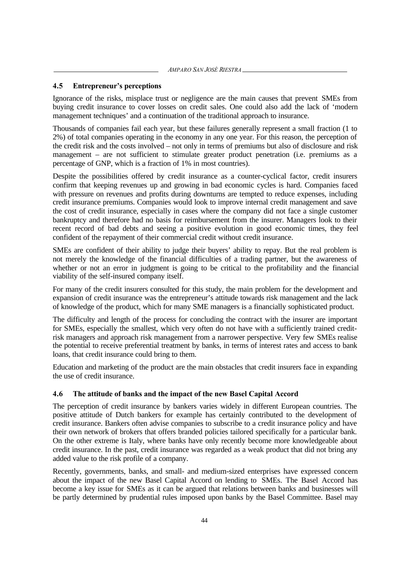*AMPARO SAN JOSÉ RIESTRA*

#### **4.5 Entrepreneur's perceptions**

Ignorance of the risks, misplace trust or negligence are the main causes that prevent SMEs from buying credit insurance to cover losses on credit sales. One could also add the lack of 'modern management techniques' and a continuation of the traditional approach to insurance.

Thousands of companies fail each year, but these failures generally represent a small fraction (1 to 2%) of total companies operating in the economy in any one year. For this reason, the perception of the credit risk and the costs involved – not only in terms of premiums but also of disclosure and risk management – are not sufficient to stimulate greater product penetration (i.e. premiums as a percentage of GNP, which is a fraction of 1% in most countries).

Despite the possibilities offered by credit insurance as a counter-cyclical factor, credit insurers confirm that keeping revenues up and growing in bad economic cycles is hard. Companies faced with pressure on revenues and profits during downturns are tempted to reduce expenses, including credit insurance premiums. Companies would look to improve internal credit management and save the cost of credit insurance, especially in cases where the company did not face a single customer bankruptcy and therefore had no basis for reimbursement from the insurer. Managers look to their recent record of bad debts and seeing a positive evolution in good economic times, they feel confident of the repayment of their commercial credit without credit insurance.

SMEs are confident of their ability to judge their buyers' ability to repay. But the real problem is not merely the knowledge of the financial difficulties of a trading partner, but the awareness of whether or not an error in judgment is going to be critical to the profitability and the financial viability of the self-insured company itself.

For many of the credit insurers consulted for this study, the main problem for the development and expansion of credit insurance was the entrepreneur's attitude towards risk management and the lack of knowledge of the product, which for many SME managers is a financially sophisticated product.

The difficulty and length of the process for concluding the contract with the insurer are important for SMEs, especially the smallest, which very often do not have with a sufficiently trained creditrisk managers and approach risk management from a narrower perspective. Very few SMEs realise the potential to receive preferential treatment by banks, in terms of interest rates and access to bank loans, that credit insurance could bring to them.

Education and marketing of the product are the main obstacles that credit insurers face in expanding the use of credit insurance.

#### **4.6 The attitude of banks and the impact of the new Basel Capital Accord**

The perception of credit insurance by bankers varies widely in different European countries. The positive attitude of Dutch bankers for example has certainly contributed to the development of credit insurance. Bankers often advise companies to subscribe to a credit insurance policy and have their own network of brokers that offers branded policies tailored specifically for a particular bank. On the other extreme is Italy, where banks have only recently become more knowledgeable about credit insurance. In the past, credit insurance was regarded as a weak product that did not bring any added value to the risk profile of a company.

Recently, governments, banks, and small- and medium-sized enterprises have expressed concern about the impact of the new Basel Capital Accord on lending to SMEs. The Basel Accord has become a key issue for SMEs as it can be argued that relations between banks and businesses will be partly determined by prudential rules imposed upon banks by the Basel Committee. Basel may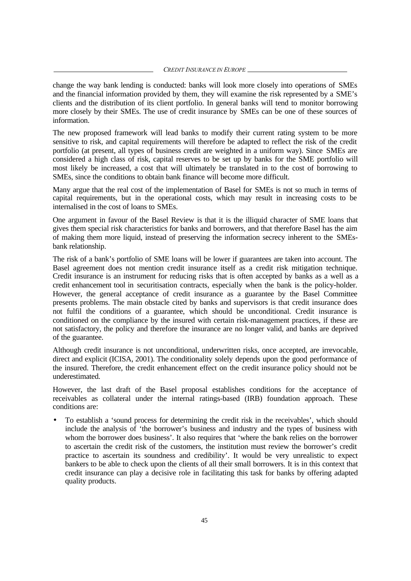*CREDIT INSURANCE IN EUROPE*

change the way bank lending is conducted: banks will look more closely into operations of SMEs and the financial information provided by them, they will examine the risk represented by a SME's clients and the distribution of its client portfolio. In general banks will tend to monitor borrowing more closely by their SMEs. The use of credit insurance by SMEs can be one of these sources of information.

The new proposed framework will lead banks to modify their current rating system to be more sensitive to risk, and capital requirements will therefore be adapted to reflect the risk of the credit portfolio (at present, all types of business credit are weighted in a uniform way). Since SMEs are considered a high class of risk, capital reserves to be set up by banks for the SME portfolio will most likely be increased, a cost that will ultimately be translated in to the cost of borrowing to SMEs, since the conditions to obtain bank finance will become more difficult.

Many argue that the real cost of the implementation of Basel for SMEs is not so much in terms of capital requirements, but in the operational costs, which may result in increasing costs to be internalised in the cost of loans to SMEs.

One argument in favour of the Basel Review is that it is the illiquid character of SME loans that gives them special risk characteristics for banks and borrowers, and that therefore Basel has the aim of making them more liquid, instead of preserving the information secrecy inherent to the SMEsbank relationship.

The risk of a bank's portfolio of SME loans will be lower if guarantees are taken into account. The Basel agreement does not mention credit insurance itself as a credit risk mitigation technique. Credit insurance is an instrument for reducing risks that is often accepted by banks as a well as a credit enhancement tool in securitisation contracts, especially when the bank is the policy-holder. However, the general acceptance of credit insurance as a guarantee by the Basel Committee presents problems. The main obstacle cited by banks and supervisors is that credit insurance does not fulfil the conditions of a guarantee, which should be unconditional. Credit insurance is conditioned on the compliance by the insured with certain risk-management practices, if these are not satisfactory, the policy and therefore the insurance are no longer valid, and banks are deprived of the guarantee.

Although credit insurance is not unconditional, underwritten risks, once accepted, are irrevocable, direct and explicit (ICISA, 2001). The conditionality solely depends upon the good performance of the insured. Therefore, the credit enhancement effect on the credit insurance policy should not be underestimated.

However, the last draft of the Basel proposal establishes conditions for the acceptance of receivables as collateral under the internal ratings-based (IRB) foundation approach. These conditions are:

• To establish a 'sound process for determining the credit risk in the receivables', which should include the analysis of 'the borrower's business and industry and the types of business with whom the borrower does business'. It also requires that 'where the bank relies on the borrower to ascertain the credit risk of the customers, the institution must review the borrower's credit practice to ascertain its soundness and credibility'. It would be very unrealistic to expect bankers to be able to check upon the clients of all their small borrowers. It is in this context that credit insurance can play a decisive role in facilitating this task for banks by offering adapted quality products.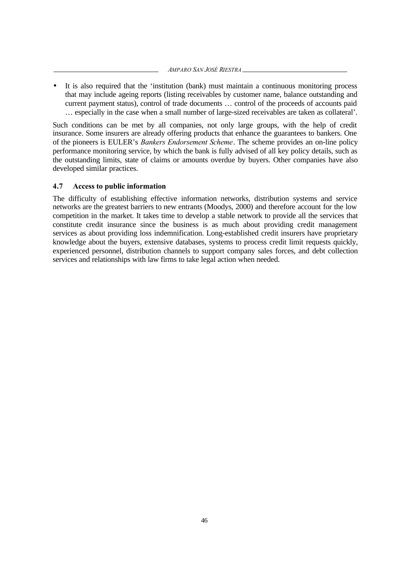• It is also required that the 'institution (bank) must maintain a continuous monitoring process that may include ageing reports (listing receivables by customer name, balance outstanding and current payment status), control of trade documents … control of the proceeds of accounts paid … especially in the case when a small number of large-sized receivables are taken as collateral'.

Such conditions can be met by all companies, not only large groups, with the help of credit insurance. Some insurers are already offering products that enhance the guarantees to bankers. One of the pioneers is EULER's *Bankers Endorsement Scheme*. The scheme provides an on-line policy performance monitoring service, by which the bank is fully advised of all key policy details, such as the outstanding limits, state of claims or amounts overdue by buyers. Other companies have also developed similar practices.

#### **4.7 Access to public information**

The difficulty of establishing effective information networks, distribution systems and service networks are the greatest barriers to new entrants (Moodys, 2000) and therefore account for the low competition in the market. It takes time to develop a stable network to provide all the services that constitute credit insurance since the business is as much about providing credit management services as about providing loss indemnification. Long-established credit insurers have proprietary knowledge about the buyers, extensive databases, systems to process credit limit requests quickly, experienced personnel, distribution channels to support company sales forces, and debt collection services and relationships with law firms to take legal action when needed.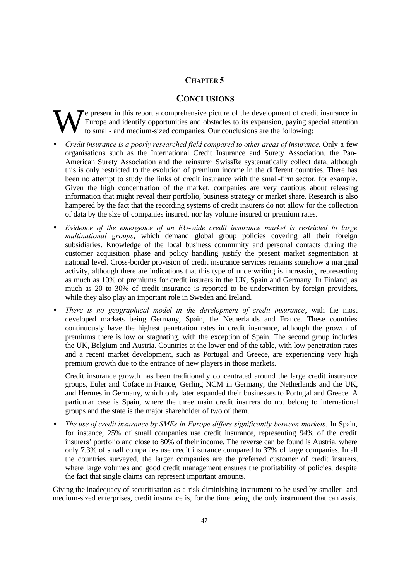#### **CHAPTER 5**

#### **CONCLUSIONS**

e present in this report a comprehensive picture of the development of credit insurance in Europe and identify opportunities and obstacles to its expansion, paying special attention to small- and medium-sized companies. Our conclusions are the following: W

- *Credit insurance is a poorly researched field compared to other areas of insurance.* Only a few organisations such as the International Credit Insurance and Surety Association, the Pan-American Surety Association and the reinsurer SwissRe systematically collect data, although this is only restricted to the evolution of premium income in the different countries. There has been no attempt to study the links of credit insurance with the small-firm sector, for example. Given the high concentration of the market, companies are very cautious about releasing information that might reveal their portfolio, business strategy or market share. Research is also hampered by the fact that the recording systems of credit insurers do not allow for the collection of data by the size of companies insured, nor lay volume insured or premium rates.
- *Evidence of the emergence of an EU-wide credit insurance market is restricted to large multinational groups*, which demand global group policies covering all their foreign subsidiaries. Knowledge of the local business community and personal contacts during the customer acquisition phase and policy handling justify the present market segmentation at national level. Cross-border provision of credit insurance services remains somehow a marginal activity, although there are indications that this type of underwriting is increasing, representing as much as 10% of premiums for credit insurers in the UK, Spain and Germany. In Finland, as much as 20 to 30% of credit insurance is reported to be underwritten by foreign providers, while they also play an important role in Sweden and Ireland.
- *There is no geographical model in the development of credit insurance*, with the most developed markets being Germany, Spain, the Netherlands and France. These countries continuously have the highest penetration rates in credit insurance, although the growth of premiums there is low or stagnating, with the exception of Spain. The second group includes the UK, Belgium and Austria. Countries at the lower end of the table, with low penetration rates and a recent market development, such as Portugal and Greece, are experiencing very high premium growth due to the entrance of new players in those markets.

Credit insurance growth has been traditionally concentrated around the large credit insurance groups, Euler and Coface in France, Gerling NCM in Germany, the Netherlands and the UK, and Hermes in Germany, which only later expanded their businesses to Portugal and Greece. A particular case is Spain, where the three main credit insurers do not belong to international groups and the state is the major shareholder of two of them.

• *The use of credit insurance by SMEs in Europe differs significantly between markets*. In Spain, for instance, 25% of small companies use credit insurance, representing 94% of the credit insurers' portfolio and close to 80% of their income. The reverse can be found is Austria, where only 7.3% of small companies use credit insurance compared to 37% of large companies. In all the countries surveyed, the larger companies are the preferred customer of credit insurers, where large volumes and good credit management ensures the profitability of policies, despite the fact that single claims can represent important amounts.

Giving the inadequacy of securitisation as a risk-diminishing instrument to be used by smaller- and medium-sized enterprises, credit insurance is, for the time being, the only instrument that can assist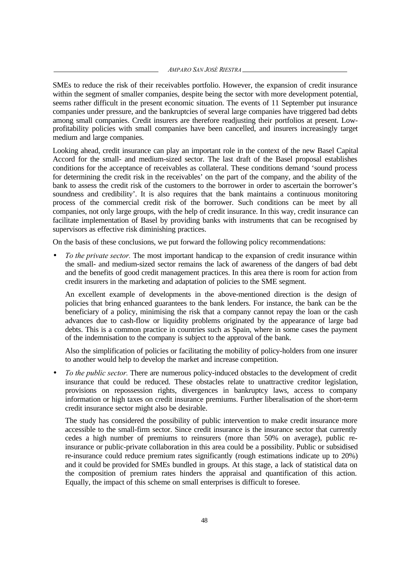*AMPARO SAN JOSÉ RIESTRA*

SMEs to reduce the risk of their receivables portfolio. However, the expansion of credit insurance within the segment of smaller companies, despite being the sector with more development potential, seems rather difficult in the present economic situation. The events of 11 September put insurance companies under pressure, and the bankruptcies of several large companies have triggered bad debts among small companies. Credit insurers are therefore readjusting their portfolios at present. Lowprofitability policies with small companies have been cancelled, and insurers increasingly target medium and large companies.

Looking ahead, credit insurance can play an important role in the context of the new Basel Capital Accord for the small- and medium-sized sector. The last draft of the Basel proposal establishes conditions for the acceptance of receivables as collateral. These conditions demand 'sound process for determining the credit risk in the receivables' on the part of the company, and the ability of the bank to assess the credit risk of the customers to the borrower in order to ascertain the borrower's soundness and credibility'. It is also requires that the bank maintains a continuous monitoring process of the commercial credit risk of the borrower. Such conditions can be meet by all companies, not only large groups, with the help of credit insurance. In this way, credit insurance can facilitate implementation of Basel by providing banks with instruments that can be recognised by supervisors as effective risk diminishing practices.

On the basis of these conclusions, we put forward the following policy recommendations:

• *To the private sector.* The most important handicap to the expansion of credit insurance within the small- and medium-sized sector remains the lack of awareness of the dangers of bad debt and the benefits of good credit management practices. In this area there is room for action from credit insurers in the marketing and adaptation of policies to the SME segment.

An excellent example of developments in the above-mentioned direction is the design of policies that bring enhanced guarantees to the bank lenders. For instance, the bank can be the beneficiary of a policy, minimising the risk that a company cannot repay the loan or the cash advances due to cash-flow or liquidity problems originated by the appearance of large bad debts. This is a common practice in countries such as Spain, where in some cases the payment of the indemnisation to the company is subject to the approval of the bank.

Also the simplification of policies or facilitating the mobility of policy-holders from one insurer to another would help to develop the market and increase competition.

• *To the public sector.* There are numerous policy-induced obstacles to the development of credit insurance that could be reduced. These obstacles relate to unattractive creditor legislation, provisions on repossession rights, divergences in bankruptcy laws, access to company information or high taxes on credit insurance premiums. Further liberalisation of the short-term credit insurance sector might also be desirable.

The study has considered the possibility of public intervention to make credit insurance more accessible to the small-firm sector. Since credit insurance is the insurance sector that currently cedes a high number of premiums to reinsurers (more than 50% on average), public reinsurance or public-private collaboration in this area could be a possibility. Public or subsidised re-insurance could reduce premium rates significantly (rough estimations indicate up to 20%) and it could be provided for SMEs bundled in groups. At this stage, a lack of statistical data on the composition of premium rates hinders the appraisal and quantification of this action. Equally, the impact of this scheme on small enterprises is difficult to foresee.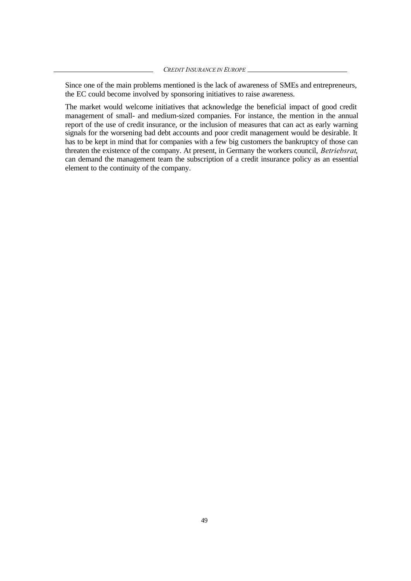Since one of the main problems mentioned is the lack of awareness of SMEs and entrepreneurs, the EC could become involved by sponsoring initiatives to raise awareness.

The market would welcome initiatives that acknowledge the beneficial impact of good credit management of small- and medium-sized companies. For instance, the mention in the annual report of the use of credit insurance, or the inclusion of measures that can act as early warning signals for the worsening bad debt accounts and poor credit management would be desirable. It has to be kept in mind that for companies with a few big customers the bankruptcy of those can threaten the existence of the company. At present, in Germany the workers council, *Betriebsrat*, can demand the management team the subscription of a credit insurance policy as an essential element to the continuity of the company.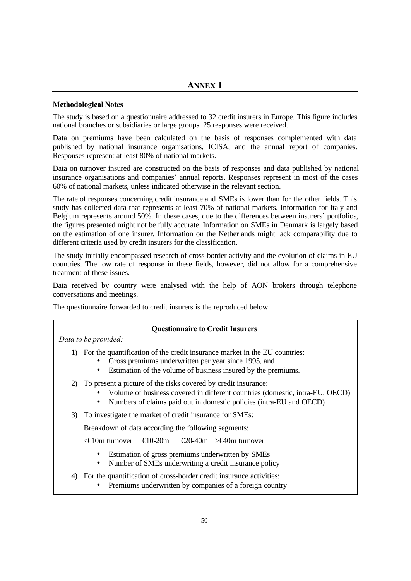#### **Methodological Notes**

The study is based on a questionnaire addressed to 32 credit insurers in Europe. This figure includes national branches or subsidiaries or large groups. 25 responses were received.

Data on premiums have been calculated on the basis of responses complemented with data published by national insurance organisations, ICISA, and the annual report of companies. Responses represent at least 80% of national markets.

Data on turnover insured are constructed on the basis of responses and data published by national insurance organisations and companies' annual reports. Responses represent in most of the cases 60% of national markets, unless indicated otherwise in the relevant section.

The rate of responses concerning credit insurance and SMEs is lower than for the other fields. This study has collected data that represents at least 70% of national markets. Information for Italy and Belgium represents around 50%. In these cases, due to the differences between insurers' portfolios, the figures presented might not be fully accurate. Information on SMEs in Denmark is largely based on the estimation of one insurer. Information on the Netherlands might lack comparability due to different criteria used by credit insurers for the classification.

The study initially encompassed research of cross-border activity and the evolution of claims in EU countries. The low rate of response in these fields, however, did not allow for a comprehensive treatment of these issues.

Data received by country were analysed with the help of AON brokers through telephone conversations and meetings.

The questionnaire forwarded to credit insurers is the reproduced below.

#### **Questionnaire to Credit Insurers**

*Data to be provided:*

- 1) For the quantification of the credit insurance market in the EU countries:
	- Gross premiums underwritten per year since 1995, and
		- Estimation of the volume of business insured by the premiums.
- 2) To present a picture of the risks covered by credit insurance:
	- Volume of business covered in different countries (domestic, intra-EU, OECD)
	- Numbers of claims paid out in domestic policies (intra-EU and OECD)
- 3) To investigate the market of credit insurance for SMEs:

Breakdown of data according the following segments:

<€10m turnover €10-20m €20-40m >€40m turnover

- Estimation of gross premiums underwritten by SMEs
- Number of SMEs underwriting a credit insurance policy

#### 4) For the quantification of cross-border credit insurance activities:

• Premiums underwritten by companies of a foreign country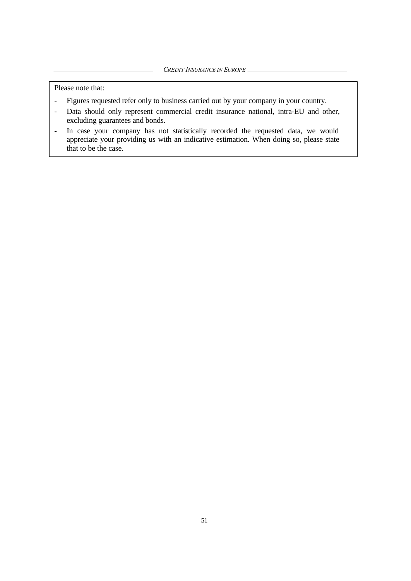Please note that:

- Figures requested refer only to business carried out by your company in your country.
- Data should only represent commercial credit insurance national, intra-EU and other, excluding guarantees and bonds.
- In case your company has not statistically recorded the requested data, we would appreciate your providing us with an indicative estimation. When doing so, please state that to be the case.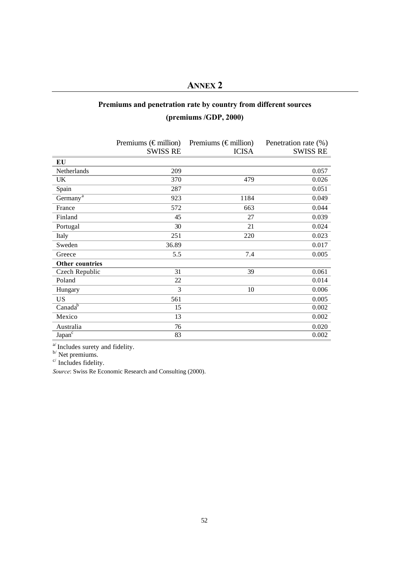## **ANNEX 2**

## **Premiums and penetration rate by country from different sources**

## **(premiums /GDP, 2000)**

|                        | Premiums ( $\epsilon$ million) | Premiums ( $\epsilon$ million) | Penetration rate (%) |
|------------------------|--------------------------------|--------------------------------|----------------------|
|                        | <b>SWISS RE</b>                | <b>ICISA</b>                   | <b>SWISS RE</b>      |
| EU                     |                                |                                |                      |
| Netherlands            | 209                            |                                | 0.057                |
| UK                     | 370                            | 479                            | 0.026                |
| Spain                  | 287                            |                                | 0.051                |
| Germany $\overline{a}$ | 923                            | 1184                           | 0.049                |
| France                 | 572                            | 663                            | 0.044                |
| Finland                | 45                             | 27                             | 0.039                |
| Portugal               | 30                             | 21                             | 0.024                |
| Italy                  | 251                            | 220                            | 0.023                |
| Sweden                 | 36.89                          |                                | 0.017                |
| Greece                 | 5.5                            | 7.4                            | 0.005                |
| <b>Other countries</b> |                                |                                |                      |
| Czech Republic         | 31                             | 39                             | 0.061                |
| Poland                 | 22                             |                                | 0.014                |
| Hungary                | 3                              | 10                             | 0.006                |
| <b>US</b>              | 561                            |                                | 0.005                |
| Canada <sup>b</sup>    | 15                             |                                | 0.002                |
| Mexico                 | 13                             |                                | 0.002                |
| Australia              | 76                             |                                | 0.020                |
| Japan <sup>c</sup>     | 83                             |                                | 0.002                |

<sup>a/</sup> Includes surety and fidelity.

 $b'$  Net premiums.

c/ Includes fidelity.

*Source*: Swiss Re Economic Research and Consulting (2000).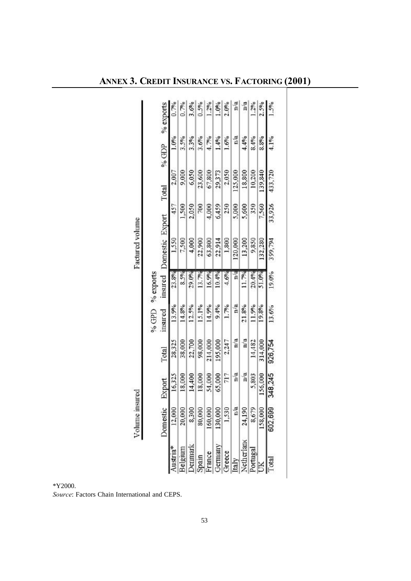|                      | Volume insured |         |         |            |           | Factured volume |        |         |       |           |
|----------------------|----------------|---------|---------|------------|-----------|-----------------|--------|---------|-------|-----------|
|                      |                |         |         | <b>GGD</b> | % exports |                 |        |         |       |           |
|                      | Domestic       | Export  | Total   | insured    | insured   | Domestic Export |        | Total   | % GDP | % exports |
| Austria*             | 12,000         | 16,325  | 28,325  | 13.9%      | 23.8%     | 1,550           | 457    | 2,007   | 1.0%  | 0.7%      |
| <b>Selgium</b>       | 20,000         | 18,000  | 38,000  | 14.8%      | 8.5%      | 7,500           | 1,500  | 9,000   | 3.5%  | 0.7%      |
| <b>enmark</b>        | 8,300          | 14,400  | 22,700  | 12.5%      | 29.0%     | 4,000           | 2,050  | 6,050   | 3.3%  | 3.6%      |
| Spain                | 80,000         | 18,000  | 98,000  | 15.1%      | 13.7%     | 22,900          | 200    | 23,600  | 3.6%  | 0.5%      |
| France               | 160,000        | 54,000  | 214,000 | 14.9%      | 16.9%     | 63,800          | 4,000  | 67,800  | 4.7%  | 1.2%      |
| <b>Jermany</b>       | 130,000        | 65,000  | 195,000 | 9.4%       | 10.4%     | 22,914          | 6,459  | 29,373  | 1.4%  | 1.0%      |
| <b>Freece</b>        | 1,530          | 717     | 2,247   | 1.7%       | 4.6%      | 1,800           | 250    | 2,050   | 1.6%  | 2.0%      |
| taly                 | $\mathbf{n}$ a | n/a     | n/a     | n/a        | n/a       | 120,000         | 5,000  | 125,000 | n.a   | n/a       |
| Netherland           | 24,190         | n/a     | n/a     | 21.8%      | 11.7%     | 13,200          | 5,600  | 18,800  | 4.4%  | n/a       |
| legutio <sup>c</sup> | 8,679          | 5,803   | 14,482  | 11.9%      | 20.4%     | 9,850           | 350    | 10,200  | 8.4%  | 1.2%      |
|                      | 158,000        | 156,000 | 314,000 | 19.8%      | 51.0%     | 132,280         | 7,560  | 139,840 | 8.8%  | 2.5%      |
| <b>Lotal</b>         | 602,699        | 348,245 | 926,754 | 13.6%      | 19.0%     | 399,794         | 33,926 | 433,720 | 4.1%  | 1.5%      |
|                      |                |         |         |            |           |                 |        |         |       |           |

**ANNEX 3. CREDIT INSURANCE VS. FACTORING (2001)**

\*Y2000. *Source*: Factors Chain International and CEPS.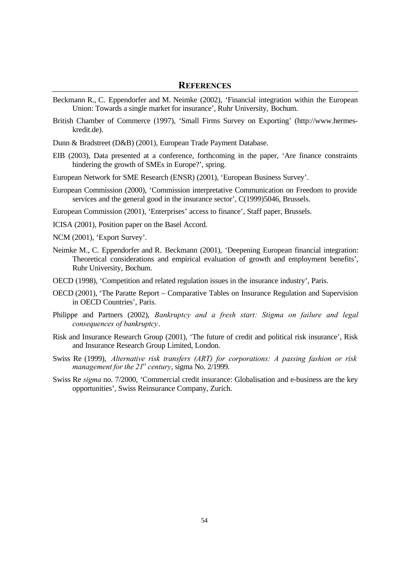#### **REFERENCES**

- Beckmann R., C. Eppendorfer and M. Neimke (2002), 'Financial integration within the European Union: Towards a single market for insurance', Ruhr University, Bochum.
- British Chamber of Commerce (1997), 'Small Firms Survey on Exporting' (http://www.hermeskredit.de).
- Dunn & Bradstreet (D&B) (2001), European Trade Payment Database.
- EIB (2003), Data presented at a conference, forthcoming in the paper, 'Are finance constraints hindering the growth of SMEs in Europe?', spring.
- European Network for SME Research (ENSR) (2001), 'European Business Survey'.
- European Commission (2000), 'Commission interpretative Communication on Freedom to provide services and the general good in the insurance sector', C(1999)5046, Brussels.

European Commission (2001), 'Enterprises' access to finance', Staff paper, Brussels.

- ICISA (2001), Position paper on the Basel Accord.
- NCM (2001), 'Export Survey'.
- Neimke M., C. Eppendorfer and R. Beckmann (2001), 'Deepening European financial integration: Theoretical considerations and empirical evaluation of growth and employment benefits', Ruhr University, Bochum.
- OECD (1998), 'Competition and related regulation issues in the insurance industry', Paris.
- OECD (2001), 'The Paratte Report Comparative Tables on Insurance Regulation and Supervision in OECD Countries', Paris.
- Philippe and Partners (2002), *Bankruptcy and a fresh start: Stigma on failure and legal consequences of bankruptcy*.
- Risk and Insurance Research Group (2001), 'The future of credit and political risk insurance', Risk and Insurance Research Group Limited, London.
- Swiss Re (1999), *Alternative risk transfers (ART) for corporations: A passing fashion or risk management for the 21st century*, sigma No. 2/1999.
- Swiss Re *sigma* no. 7/2000, 'Commercial credit insurance: Globalisation and e-business are the key opportunities', Swiss Reinsurance Company, Zurich.